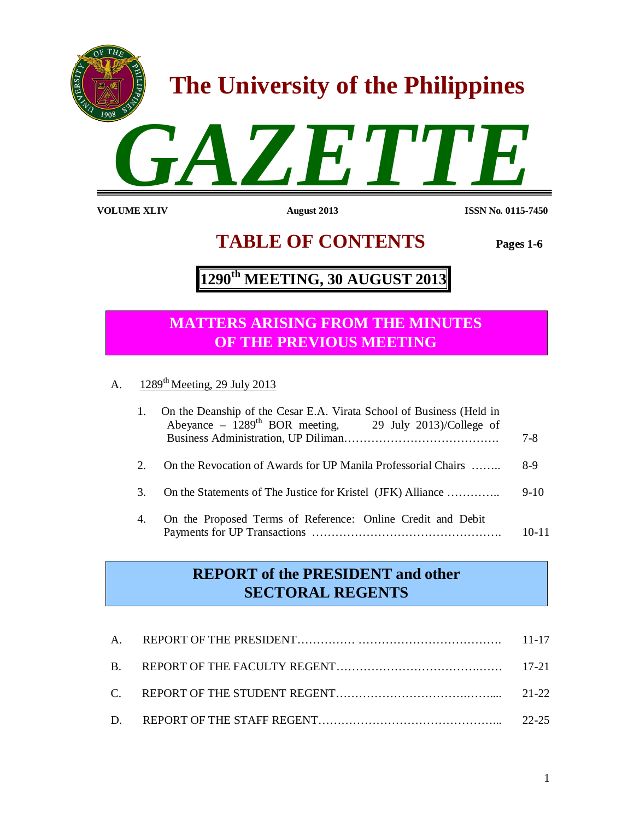

 **TABLE OF CONTENTS Pages 1-6**

# **1290th MEETING, 30 AUGUST 2013**

# **MATTERS ARISING FROM THE MINUTES OF THE PREVIOUS MEETING**

A.  $1289^{\text{th}}$  Meeting, 29 July 2013

| 1.                          | On the Deanship of the Cesar E.A. Virata School of Business (Held in<br>Abeyance – $1289^{th}$ BOR meeting, 29 July 2013)/College of | $7 - 8$   |
|-----------------------------|--------------------------------------------------------------------------------------------------------------------------------------|-----------|
| $\mathcal{D}_{\mathcal{L}}$ | On the Revocation of Awards for UP Manila Professorial Chairs                                                                        | 8-9       |
| 3                           | On the Statements of The Justice for Kristel (JFK) Alliance                                                                          | $9-10$    |
| 4.                          | On the Proposed Terms of Reference: Online Credit and Debit                                                                          | $10 - 11$ |

# **REPORT of the PRESIDENT and other SECTORAL REGENTS**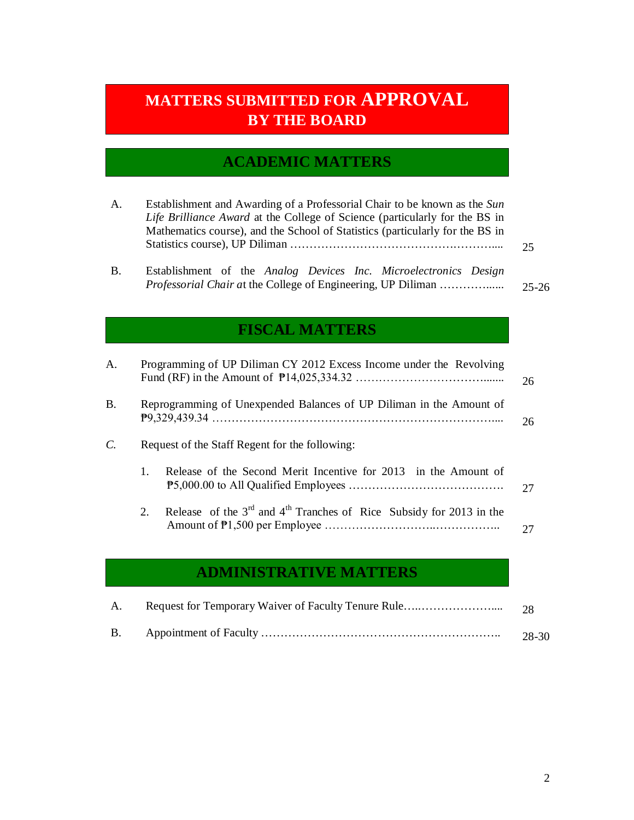# **MATTERS SUBMITTED FOR APPROVAL BY THE BOARD**

# **ACADEMIC MATTERS**

| Establishment and Awarding of a Professorial Chair to be known as the Sun<br>А.<br>Life Brilliance Award at the College of Science (particularly for the BS in<br>Mathematics course), and the School of Statistics (particularly for the BS in |                                                                                                                                          |           |  |
|-------------------------------------------------------------------------------------------------------------------------------------------------------------------------------------------------------------------------------------------------|------------------------------------------------------------------------------------------------------------------------------------------|-----------|--|
|                                                                                                                                                                                                                                                 |                                                                                                                                          | 25        |  |
| B.                                                                                                                                                                                                                                              | Establishment of the Analog Devices Inc. Microelectronics Design<br><i>Professorial Chair at the College of Engineering, UP Diliman </i> | $25 - 26$ |  |

# **FISCAL MATTERS**

| A.            |                | Programming of UP Diliman CY 2012 Excess Income under the Revolving     | 26 |
|---------------|----------------|-------------------------------------------------------------------------|----|
| <b>B.</b>     |                | Reprogramming of Unexpended Balances of UP Diliman in the Amount of     | 26 |
| $\mathcal{C}$ |                | Request of the Staff Regent for the following:                          |    |
|               | $\mathbf{1}$ . | Release of the Second Merit Incentive for 2013 in the Amount of         | 27 |
|               | 2.             | Release of the $3rd$ and $4th$ Tranches of Rice Subsidy for 2013 in the |    |

## **ADMINISTRATIVE MATTERS**

| A. |       |
|----|-------|
|    | 28-30 |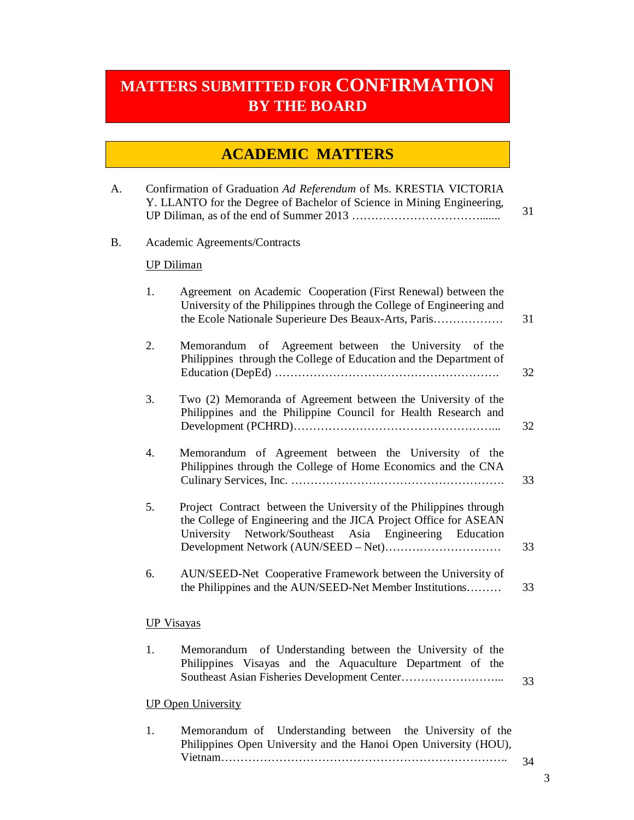# **MATTERS SUBMITTED FOR CONFIRMATION BY THE BOARD**

# **ACADEMIC MATTERS**

| A. |                   | Confirmation of Graduation Ad Referendum of Ms. KRESTIA VICTORIA<br>Y. LLANTO for the Degree of Bachelor of Science in Mining Engineering,                                                           | 31 |
|----|-------------------|------------------------------------------------------------------------------------------------------------------------------------------------------------------------------------------------------|----|
| B. |                   | Academic Agreements/Contracts                                                                                                                                                                        |    |
|    |                   | <b>UP Diliman</b>                                                                                                                                                                                    |    |
|    | 1.                | Agreement on Academic Cooperation (First Renewal) between the<br>University of the Philippines through the College of Engineering and<br>the Ecole Nationale Superieure Des Beaux-Arts, Paris        | 31 |
|    | 2.                | Memorandum of Agreement between the University of the<br>Philippines through the College of Education and the Department of                                                                          | 32 |
|    | 3.                | Two (2) Memoranda of Agreement between the University of the<br>Philippines and the Philippine Council for Health Research and                                                                       | 32 |
|    | 4.                | Memorandum of Agreement between the University of the<br>Philippines through the College of Home Economics and the CNA                                                                               | 33 |
|    | 5.                | Project Contract between the University of the Philippines through<br>the College of Engineering and the JICA Project Office for ASEAN<br>Network/Southeast Asia Engineering Education<br>University | 33 |
|    | 6.                | AUN/SEED-Net Cooperative Framework between the University of<br>the Philippines and the AUN/SEED-Net Member Institutions                                                                             | 33 |
|    | <b>UP Visayas</b> |                                                                                                                                                                                                      |    |
|    | 1.                | Memorandum of Understanding between the University of the<br>Philippines Visayas and the Aquaculture Department of the                                                                               | 33 |
|    |                   | <b>UP Open University</b>                                                                                                                                                                            |    |
|    | 1.                | Understanding between<br>Memorandum of<br>the University of the                                                                                                                                      |    |

Philippines Open University and the Hanoi Open University (HOU), Vietnam………………………………………………………………..

34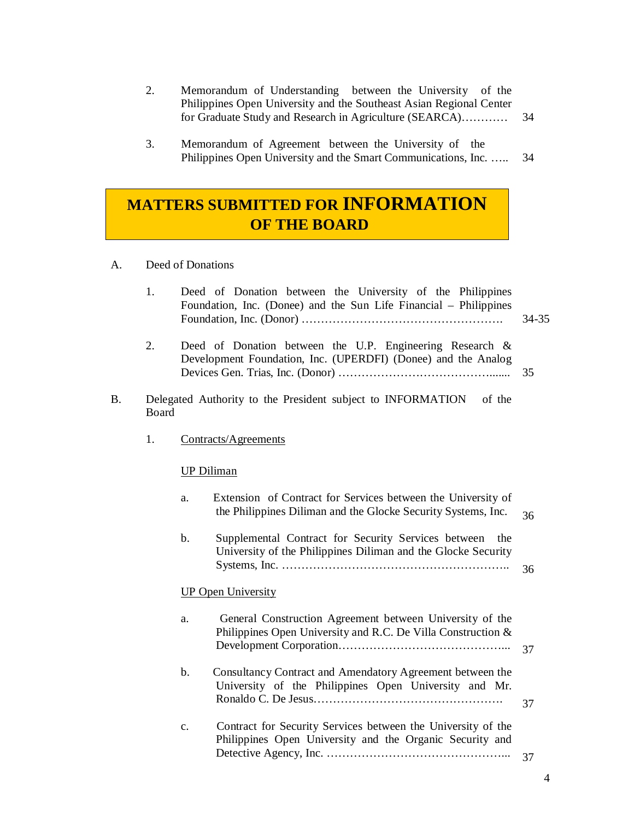- 2. Memorandum of Understanding between the University of the Philippines Open University and the Southeast Asian Regional Center for Graduate Study and Research in Agriculture (SEARCA)………… 34
- 3. Memorandum of Agreement between the University of the Philippines Open University and the Smart Communications, Inc. ….. 34

# **MATTERS SUBMITTED FOR INFORMATION OF THE BOARD**

- A. Deed of Donations
	- 1. Deed of Donation between the University of the Philippines Foundation, Inc. (Donee) and the Sun Life Financial – Philippines Foundation, Inc. (Donor) ……………………………………………. 34-35
	- 2. Deed of Donation between the U.P. Engineering Research & Development Foundation, Inc. (UPERDFI) (Donee) and the Analog Devices Gen. Trias, Inc. (Donor) …………………………………....... 35
- B. Delegated Authority to the President subject to INFORMATION of the Board
	- 1. Contracts/Agreements

### UP Diliman

| a.             | Extension of Contract for Services between the University of<br>the Philippines Diliman and the Glocke Security Systems, Inc. | 36 |
|----------------|-------------------------------------------------------------------------------------------------------------------------------|----|
| b.             | Supplemental Contract for Security Services between<br>the<br>University of the Philippines Diliman and the Glocke Security   | 36 |
|                | <b>UP Open University</b>                                                                                                     |    |
| a.             | General Construction Agreement between University of the<br>Philippines Open University and R.C. De Villa Construction $\&$   | 37 |
| b.             | Consultancy Contract and Amendatory Agreement between the<br>University of the Philippines Open University and Mr.            | 37 |
| $\mathbf{c}$ . | Contract for Security Services between the University of the<br>Philippines Open University and the Organic Security and      | 37 |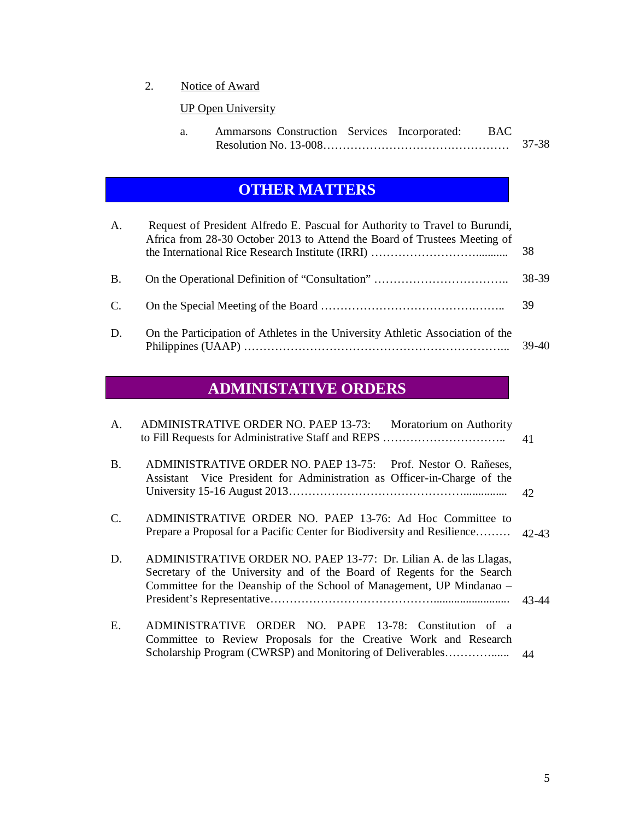2. Notice of Award

## UP Open University

| Ammarsons Construction Services Incorporated: BAC |  |       |
|---------------------------------------------------|--|-------|
|                                                   |  | 37-38 |

# **OTHER MATTERS**

| A.        | Request of President Alfredo E. Pascual for Authority to Travel to Burundi,<br>Africa from 28-30 October 2013 to Attend the Board of Trustees Meeting of | 38      |
|-----------|----------------------------------------------------------------------------------------------------------------------------------------------------------|---------|
| <b>B.</b> |                                                                                                                                                          | 38-39   |
| C.        |                                                                                                                                                          | 39      |
| D.        | On the Participation of Athletes in the University Athletic Association of the                                                                           | $39-40$ |

# **ADMINISTATIVE ORDERS**

| A.        | <b>ADMINISTRATIVE ORDER NO. PAEP 13-73:</b><br>Moratorium on Authority                                                                                                                                               | 41        |
|-----------|----------------------------------------------------------------------------------------------------------------------------------------------------------------------------------------------------------------------|-----------|
| <b>B.</b> | ADMINISTRATIVE ORDER NO. PAEP 13-75: Prof. Nestor O. Rañeses,<br>Assistant Vice President for Administration as Officer-in-Charge of the                                                                             | 42        |
| C.        | ADMINISTRATIVE ORDER NO. PAEP 13-76: Ad Hoc Committee to<br>Prepare a Proposal for a Pacific Center for Biodiversity and Resilience                                                                                  | $42 - 43$ |
| D.        | ADMINISTRATIVE ORDER NO. PAEP 13-77: Dr. Lilian A. de las Llagas,<br>Secretary of the University and of the Board of Regents for the Search<br>Committee for the Deanship of the School of Management, UP Mindanao – | 43-44     |
| Ε.        | ADMINISTRATIVE ORDER NO. PAPE 13-78: Constitution of a<br>Committee to Review Proposals for the Creative Work and Research<br>Scholarship Program (CWRSP) and Monitoring of Deliverables                             | 44        |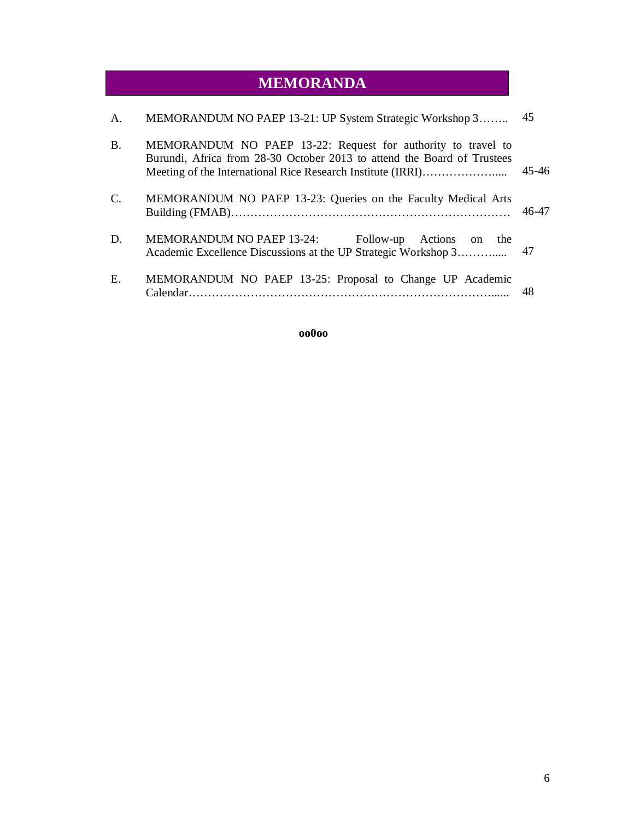# **MEMORANDA**

| $\mathsf{A}$ . | MEMORANDUM NO PAEP 13-21: UP System Strategic Workshop 3                                                                                | 45        |
|----------------|-----------------------------------------------------------------------------------------------------------------------------------------|-----------|
| <b>B.</b>      | MEMORANDUM NO PAEP 13-22: Request for authority to travel to<br>Burundi, Africa from 28-30 October 2013 to attend the Board of Trustees | $45 - 46$ |
| C.             | MEMORANDUM NO PAEP 13-23: Queries on the Faculty Medical Arts                                                                           | 46-47     |
| D.             | MEMORANDUM NO PAEP 13-24:<br>Actions on the<br>Follow-up<br>Academic Excellence Discussions at the UP Strategic Workshop 3              | 47        |
| Ε.             | MEMORANDUM NO PAEP 13-25: Proposal to Change UP Academic<br>Calendar.                                                                   | 48        |

### **oo0oo**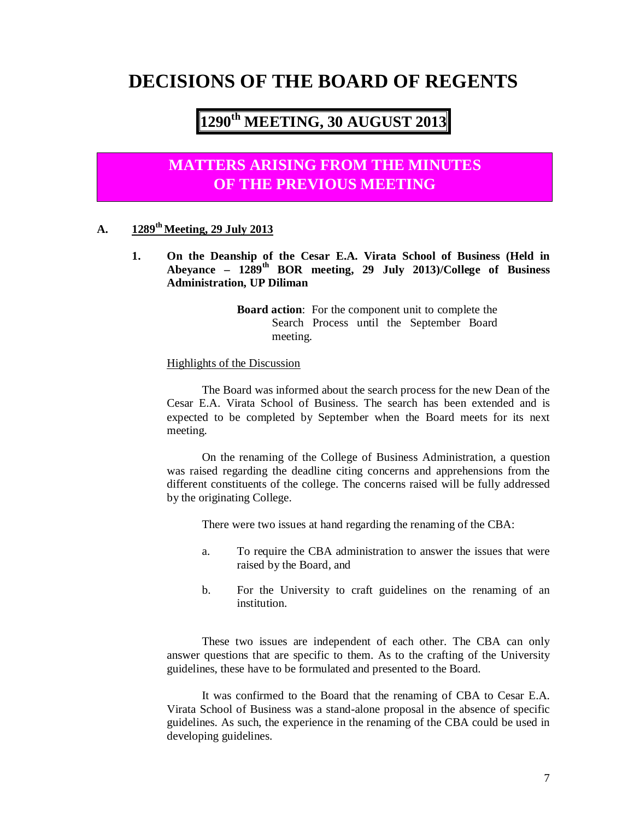# **DECISIONS OF THE BOARD OF REGENTS**

# **1290th MEETING, 30 AUGUST 2013**

## **MATTERS ARISING FROM THE MINUTES OF THE PREVIOUS MEETING**

### **A. 1289th Meeting, 29 July 2013**

**1. On the Deanship of the Cesar E.A. Virata School of Business (Held in Abeyance – 1289th BOR meeting, 29 July 2013)/College of Business Administration, UP Diliman** 

> **Board action**: For the component unit to complete the Search Process until the September Board meeting.

Highlights of the Discussion

The Board was informed about the search process for the new Dean of the Cesar E.A. Virata School of Business. The search has been extended and is expected to be completed by September when the Board meets for its next meeting.

On the renaming of the College of Business Administration, a question was raised regarding the deadline citing concerns and apprehensions from the different constituents of the college. The concerns raised will be fully addressed by the originating College.

There were two issues at hand regarding the renaming of the CBA:

- a. To require the CBA administration to answer the issues that were raised by the Board, and
- b. For the University to craft guidelines on the renaming of an institution.

These two issues are independent of each other. The CBA can only answer questions that are specific to them. As to the crafting of the University guidelines, these have to be formulated and presented to the Board.

It was confirmed to the Board that the renaming of CBA to Cesar E.A. Virata School of Business was a stand-alone proposal in the absence of specific guidelines. As such, the experience in the renaming of the CBA could be used in developing guidelines.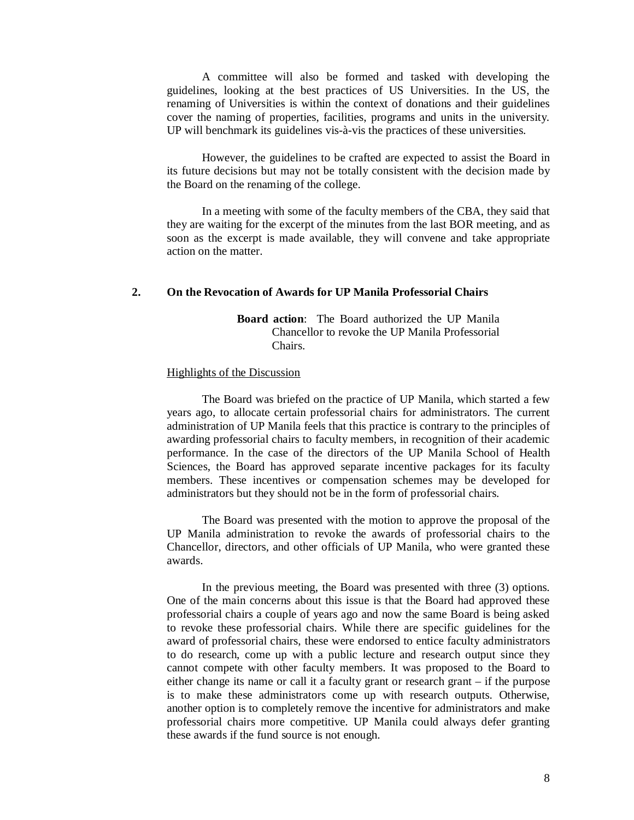A committee will also be formed and tasked with developing the guidelines, looking at the best practices of US Universities. In the US, the renaming of Universities is within the context of donations and their guidelines cover the naming of properties, facilities, programs and units in the university. UP will benchmark its guidelines vis-à-vis the practices of these universities.

However, the guidelines to be crafted are expected to assist the Board in its future decisions but may not be totally consistent with the decision made by the Board on the renaming of the college.

In a meeting with some of the faculty members of the CBA, they said that they are waiting for the excerpt of the minutes from the last BOR meeting, and as soon as the excerpt is made available, they will convene and take appropriate action on the matter.

### **2. On the Revocation of Awards for UP Manila Professorial Chairs**

**Board action**: The Board authorized the UP Manila Chancellor to revoke the UP Manila Professorial Chairs.

#### Highlights of the Discussion

The Board was briefed on the practice of UP Manila, which started a few years ago, to allocate certain professorial chairs for administrators. The current administration of UP Manila feels that this practice is contrary to the principles of awarding professorial chairs to faculty members, in recognition of their academic performance. In the case of the directors of the UP Manila School of Health Sciences, the Board has approved separate incentive packages for its faculty members. These incentives or compensation schemes may be developed for administrators but they should not be in the form of professorial chairs.

The Board was presented with the motion to approve the proposal of the UP Manila administration to revoke the awards of professorial chairs to the Chancellor, directors, and other officials of UP Manila, who were granted these awards.

In the previous meeting, the Board was presented with three (3) options. One of the main concerns about this issue is that the Board had approved these professorial chairs a couple of years ago and now the same Board is being asked to revoke these professorial chairs. While there are specific guidelines for the award of professorial chairs, these were endorsed to entice faculty administrators to do research, come up with a public lecture and research output since they cannot compete with other faculty members. It was proposed to the Board to either change its name or call it a faculty grant or research grant – if the purpose is to make these administrators come up with research outputs. Otherwise, another option is to completely remove the incentive for administrators and make professorial chairs more competitive. UP Manila could always defer granting these awards if the fund source is not enough.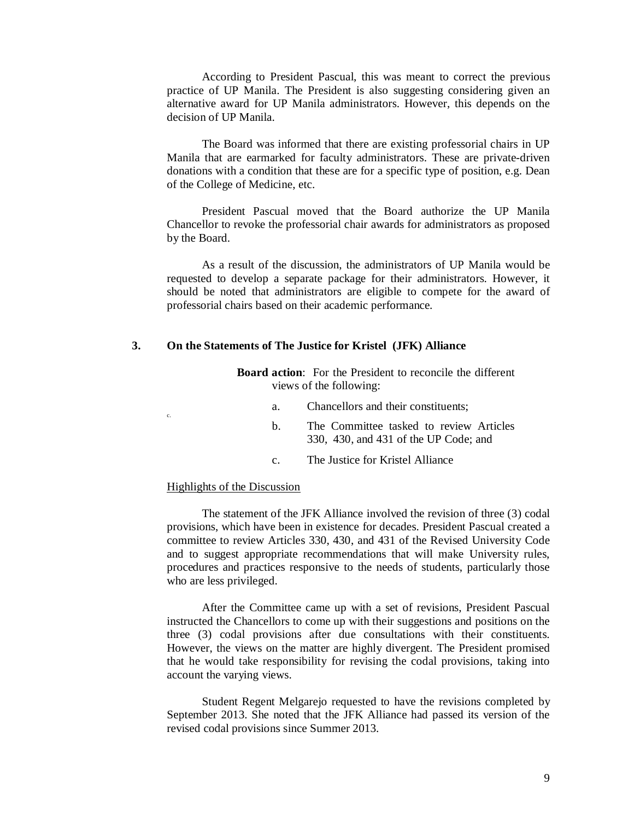According to President Pascual, this was meant to correct the previous practice of UP Manila. The President is also suggesting considering given an alternative award for UP Manila administrators. However, this depends on the decision of UP Manila.

The Board was informed that there are existing professorial chairs in UP Manila that are earmarked for faculty administrators. These are private-driven donations with a condition that these are for a specific type of position, e.g. Dean of the College of Medicine, etc.

President Pascual moved that the Board authorize the UP Manila Chancellor to revoke the professorial chair awards for administrators as proposed by the Board.

As a result of the discussion, the administrators of UP Manila would be requested to develop a separate package for their administrators. However, it should be noted that administrators are eligible to compete for the award of professorial chairs based on their academic performance.

#### **3. On the Statements of The Justice for Kristel (JFK) Alliance**

| <b>Board action:</b> For the President to reconcile the different |  |  |                                                                                                                                                                                                                                                                                                                                    |  |  |  |
|-------------------------------------------------------------------|--|--|------------------------------------------------------------------------------------------------------------------------------------------------------------------------------------------------------------------------------------------------------------------------------------------------------------------------------------|--|--|--|
| views of the following:                                           |  |  |                                                                                                                                                                                                                                                                                                                                    |  |  |  |
| Chancellors and their constituents;<br>$a_{\cdot}$                |  |  |                                                                                                                                                                                                                                                                                                                                    |  |  |  |
|                                                                   |  |  | $\mathbf{r}$ $\mathbf{r}$ $\mathbf{r}$ $\mathbf{r}$ $\mathbf{r}$ $\mathbf{r}$ $\mathbf{r}$ $\mathbf{r}$ $\mathbf{r}$ $\mathbf{r}$ $\mathbf{r}$ $\mathbf{r}$ $\mathbf{r}$ $\mathbf{r}$ $\mathbf{r}$ $\mathbf{r}$ $\mathbf{r}$ $\mathbf{r}$ $\mathbf{r}$ $\mathbf{r}$ $\mathbf{r}$ $\mathbf{r}$ $\mathbf{r}$ $\mathbf{r}$ $\mathbf{$ |  |  |  |

- b. The Committee tasked to review Articles 330, 430, and 431 of the UP Code; and
- c. The Justice for Kristel Alliance

#### Highlights of the Discussion

c.

The statement of the JFK Alliance involved the revision of three (3) codal provisions, which have been in existence for decades. President Pascual created a committee to review Articles 330, 430, and 431 of the Revised University Code and to suggest appropriate recommendations that will make University rules, procedures and practices responsive to the needs of students, particularly those who are less privileged.

After the Committee came up with a set of revisions, President Pascual instructed the Chancellors to come up with their suggestions and positions on the three (3) codal provisions after due consultations with their constituents. However, the views on the matter are highly divergent. The President promised that he would take responsibility for revising the codal provisions, taking into account the varying views.

Student Regent Melgarejo requested to have the revisions completed by September 2013. She noted that the JFK Alliance had passed its version of the revised codal provisions since Summer 2013.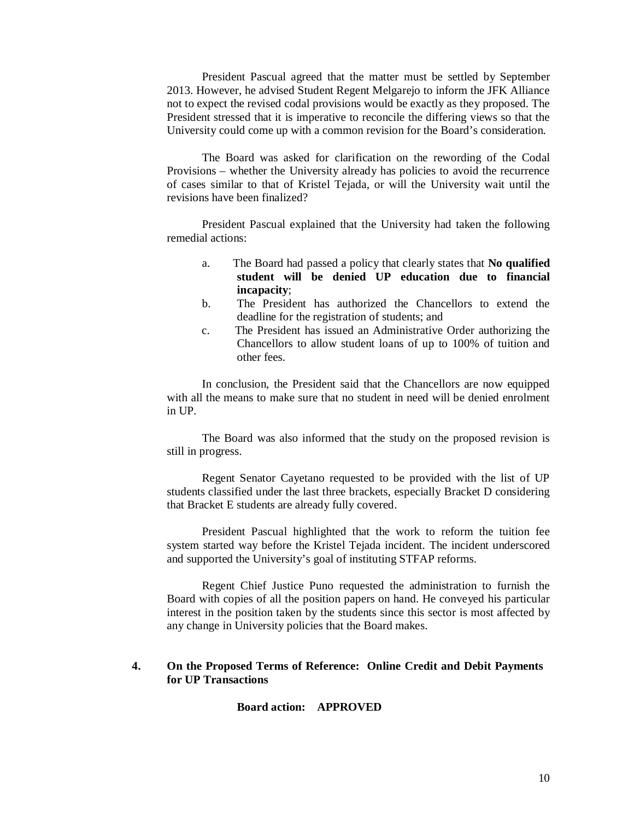President Pascual agreed that the matter must be settled by September 2013. However, he advised Student Regent Melgarejo to inform the JFK Alliance not to expect the revised codal provisions would be exactly as they proposed. The President stressed that it is imperative to reconcile the differing views so that the University could come up with a common revision for the Board's consideration.

The Board was asked for clarification on the rewording of the Codal Provisions – whether the University already has policies to avoid the recurrence of cases similar to that of Kristel Tejada, or will the University wait until the revisions have been finalized?

President Pascual explained that the University had taken the following remedial actions:

- a. The Board had passed a policy that clearly states that **No qualified student will be denied UP education due to financial incapacity**;
- b. The President has authorized the Chancellors to extend the deadline for the registration of students; and
- c. The President has issued an Administrative Order authorizing the Chancellors to allow student loans of up to 100% of tuition and other fees.

In conclusion, the President said that the Chancellors are now equipped with all the means to make sure that no student in need will be denied enrolment in UP.

The Board was also informed that the study on the proposed revision is still in progress.

Regent Senator Cayetano requested to be provided with the list of UP students classified under the last three brackets, especially Bracket D considering that Bracket E students are already fully covered.

President Pascual highlighted that the work to reform the tuition fee system started way before the Kristel Tejada incident. The incident underscored and supported the University's goal of instituting STFAP reforms.

Regent Chief Justice Puno requested the administration to furnish the Board with copies of all the position papers on hand. He conveyed his particular interest in the position taken by the students since this sector is most affected by any change in University policies that the Board makes.

### **4. On the Proposed Terms of Reference: Online Credit and Debit Payments for UP Transactions**

**Board action: APPROVED**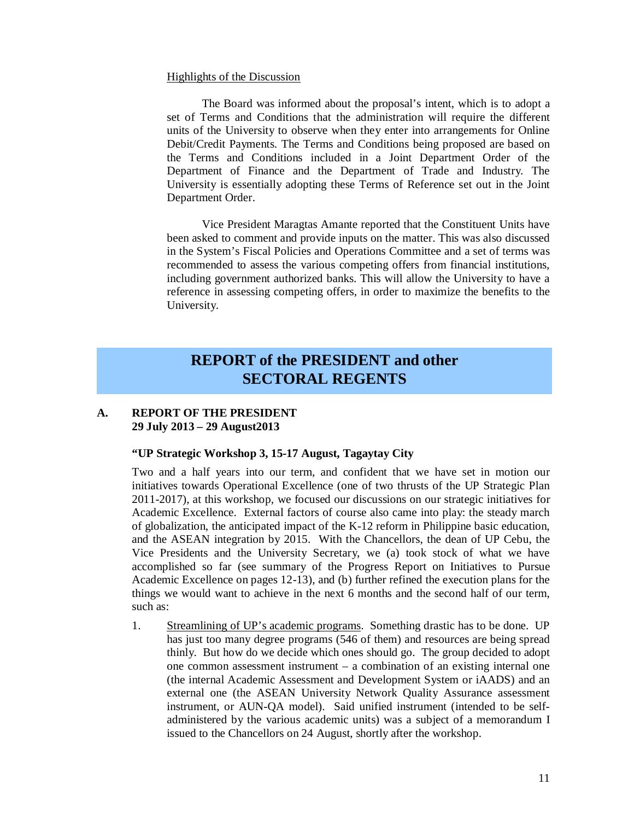#### Highlights of the Discussion

The Board was informed about the proposal's intent, which is to adopt a set of Terms and Conditions that the administration will require the different units of the University to observe when they enter into arrangements for Online Debit/Credit Payments. The Terms and Conditions being proposed are based on the Terms and Conditions included in a Joint Department Order of the Department of Finance and the Department of Trade and Industry. The University is essentially adopting these Terms of Reference set out in the Joint Department Order.

Vice President Maragtas Amante reported that the Constituent Units have been asked to comment and provide inputs on the matter. This was also discussed in the System's Fiscal Policies and Operations Committee and a set of terms was recommended to assess the various competing offers from financial institutions, including government authorized banks. This will allow the University to have a reference in assessing competing offers, in order to maximize the benefits to the University.

## **REPORT of the PRESIDENT and other SECTORAL REGENTS**

### **A. REPORT OF THE PRESIDENT 29 July 2013 – 29 August2013**

#### **"UP Strategic Workshop 3, 15-17 August, Tagaytay City**

Two and a half years into our term, and confident that we have set in motion our initiatives towards Operational Excellence (one of two thrusts of the UP Strategic Plan 2011-2017), at this workshop, we focused our discussions on our strategic initiatives for Academic Excellence. External factors of course also came into play: the steady march of globalization, the anticipated impact of the K-12 reform in Philippine basic education, and the ASEAN integration by 2015. With the Chancellors, the dean of UP Cebu, the Vice Presidents and the University Secretary, we (a) took stock of what we have accomplished so far (see summary of the Progress Report on Initiatives to Pursue Academic Excellence on pages 12-13), and (b) further refined the execution plans for the things we would want to achieve in the next 6 months and the second half of our term, such as:

1. Streamlining of UP's academic programs. Something drastic has to be done. UP has just too many degree programs (546 of them) and resources are being spread thinly. But how do we decide which ones should go. The group decided to adopt one common assessment instrument – a combination of an existing internal one (the internal Academic Assessment and Development System or iAADS) and an external one (the ASEAN University Network Quality Assurance assessment instrument, or AUN-QA model). Said unified instrument (intended to be selfadministered by the various academic units) was a subject of a memorandum I issued to the Chancellors on 24 August, shortly after the workshop.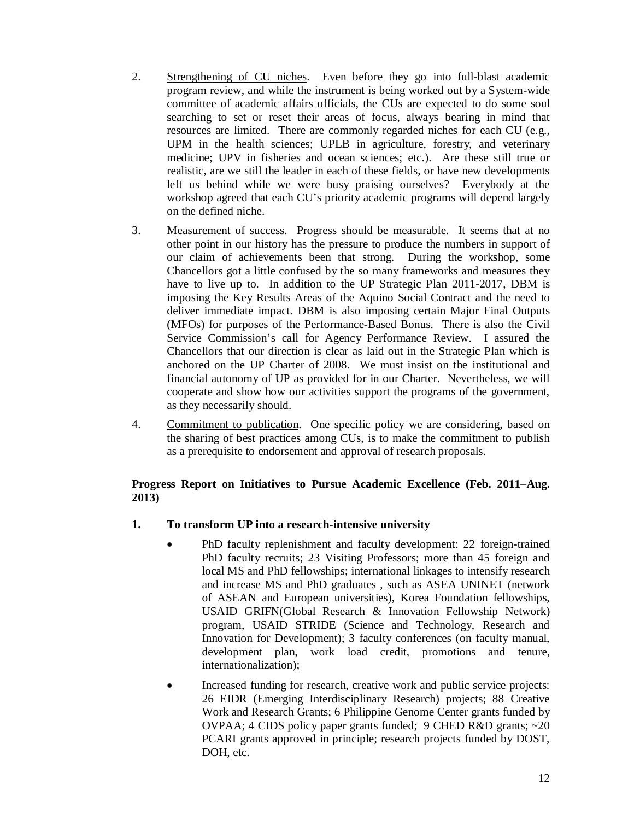- 2. Strengthening of CU niches. Even before they go into full-blast academic program review, and while the instrument is being worked out by a System-wide committee of academic affairs officials, the CUs are expected to do some soul searching to set or reset their areas of focus, always bearing in mind that resources are limited. There are commonly regarded niches for each CU (e.g., UPM in the health sciences; UPLB in agriculture, forestry, and veterinary medicine; UPV in fisheries and ocean sciences; etc.). Are these still true or realistic, are we still the leader in each of these fields, or have new developments left us behind while we were busy praising ourselves? Everybody at the workshop agreed that each CU's priority academic programs will depend largely on the defined niche.
- 3. Measurement of success. Progress should be measurable. It seems that at no other point in our history has the pressure to produce the numbers in support of our claim of achievements been that strong. During the workshop, some Chancellors got a little confused by the so many frameworks and measures they have to live up to. In addition to the UP Strategic Plan 2011-2017, DBM is imposing the Key Results Areas of the Aquino Social Contract and the need to deliver immediate impact. DBM is also imposing certain Major Final Outputs (MFOs) for purposes of the Performance-Based Bonus. There is also the Civil Service Commission's call for Agency Performance Review. I assured the Chancellors that our direction is clear as laid out in the Strategic Plan which is anchored on the UP Charter of 2008. We must insist on the institutional and financial autonomy of UP as provided for in our Charter. Nevertheless, we will cooperate and show how our activities support the programs of the government, as they necessarily should.
- 4. Commitment to publication. One specific policy we are considering, based on the sharing of best practices among CUs, is to make the commitment to publish as a prerequisite to endorsement and approval of research proposals.

### **Progress Report on Initiatives to Pursue Academic Excellence (Feb. 2011–Aug. 2013)**

### **1. To transform UP into a research-intensive university**

- PhD faculty replenishment and faculty development: 22 foreign-trained PhD faculty recruits; 23 Visiting Professors; more than 45 foreign and local MS and PhD fellowships; international linkages to intensify research and increase MS and PhD graduates , such as ASEA UNINET (network of ASEAN and European universities), Korea Foundation fellowships, USAID GRIFN(Global Research & Innovation Fellowship Network) program, USAID STRIDE (Science and Technology, Research and Innovation for Development); 3 faculty conferences (on faculty manual, development plan, work load credit, promotions and tenure, internationalization);
- Increased funding for research, creative work and public service projects: 26 EIDR (Emerging Interdisciplinary Research) projects; 88 Creative Work and Research Grants; 6 Philippine Genome Center grants funded by OVPAA; 4 CIDS policy paper grants funded; 9 CHED R&D grants; ~20 PCARI grants approved in principle; research projects funded by DOST, DOH, etc.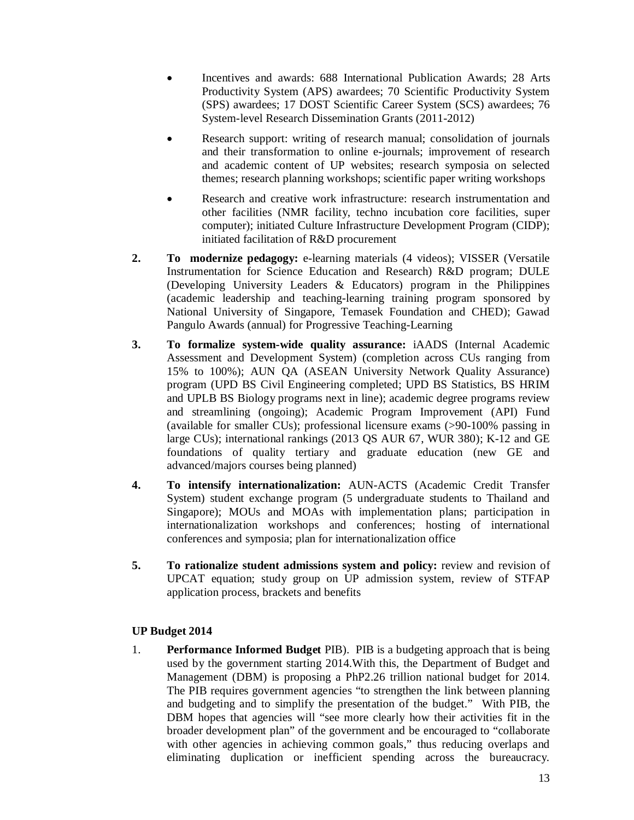- Incentives and awards: 688 International Publication Awards; 28 Arts Productivity System (APS) awardees; 70 Scientific Productivity System (SPS) awardees; 17 DOST Scientific Career System (SCS) awardees; 76 System-level Research Dissemination Grants (2011-2012)
- Research support: writing of research manual; consolidation of journals and their transformation to online e-journals; improvement of research and academic content of UP websites; research symposia on selected themes; research planning workshops; scientific paper writing workshops
- Research and creative work infrastructure: research instrumentation and other facilities (NMR facility, techno incubation core facilities, super computer); initiated Culture Infrastructure Development Program (CIDP); initiated facilitation of R&D procurement
- **2. To modernize pedagogy:** e-learning materials (4 videos); VISSER (Versatile Instrumentation for Science Education and Research) R&D program; DULE (Developing University Leaders & Educators) program in the Philippines (academic leadership and teaching-learning training program sponsored by National University of Singapore, Temasek Foundation and CHED); Gawad Pangulo Awards (annual) for Progressive Teaching-Learning
- **3. To formalize system-wide quality assurance:** iAADS (Internal Academic Assessment and Development System) (completion across CUs ranging from 15% to 100%); AUN QA (ASEAN University Network Quality Assurance) program (UPD BS Civil Engineering completed; UPD BS Statistics, BS HRIM and UPLB BS Biology programs next in line); academic degree programs review and streamlining (ongoing); Academic Program Improvement (API) Fund (available for smaller CUs); professional licensure exams (>90-100% passing in large CUs); international rankings (2013 QS AUR 67, WUR 380); K-12 and GE foundations of quality tertiary and graduate education (new GE and advanced/majors courses being planned)
- **4. To intensify internationalization:** AUN-ACTS (Academic Credit Transfer System) student exchange program (5 undergraduate students to Thailand and Singapore); MOUs and MOAs with implementation plans; participation in internationalization workshops and conferences; hosting of international conferences and symposia; plan for internationalization office
- **5. To rationalize student admissions system and policy:** review and revision of UPCAT equation; study group on UP admission system, review of STFAP application process, brackets and benefits

### **UP Budget 2014**

1. **Performance Informed Budget** PIB). PIB is a budgeting approach that is being used by the government starting 2014.With this, the Department of Budget and Management (DBM) is proposing a PhP2.26 trillion national budget for 2014. The PIB requires government agencies "to strengthen the link between planning and budgeting and to simplify the presentation of the budget." With PIB, the DBM hopes that agencies will "see more clearly how their activities fit in the broader development plan" of the government and be encouraged to "collaborate with other agencies in achieving common goals," thus reducing overlaps and eliminating duplication or inefficient spending across the bureaucracy.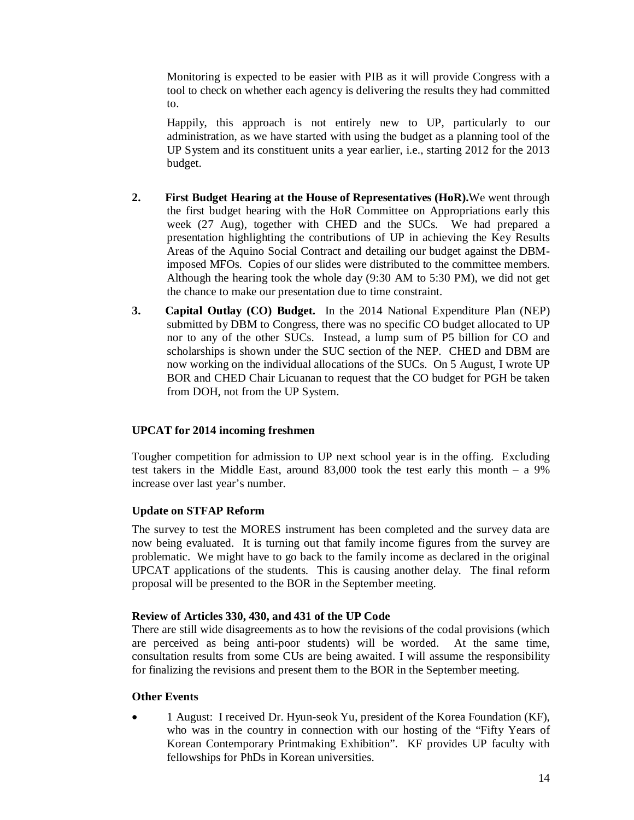Monitoring is expected to be easier with PIB as it will provide Congress with a tool to check on whether each agency is delivering the results they had committed to.

Happily, this approach is not entirely new to UP, particularly to our administration, as we have started with using the budget as a planning tool of the UP System and its constituent units a year earlier, i.e., starting 2012 for the 2013 budget.

- **2. First Budget Hearing at the House of Representatives (HoR).**We went through the first budget hearing with the HoR Committee on Appropriations early this week (27 Aug), together with CHED and the SUCs. We had prepared a presentation highlighting the contributions of UP in achieving the Key Results Areas of the Aquino Social Contract and detailing our budget against the DBMimposed MFOs. Copies of our slides were distributed to the committee members. Although the hearing took the whole day (9:30 AM to 5:30 PM), we did not get the chance to make our presentation due to time constraint.
- **3. Capital Outlay (CO) Budget.** In the 2014 National Expenditure Plan (NEP) submitted by DBM to Congress, there was no specific CO budget allocated to UP nor to any of the other SUCs. Instead, a lump sum of P5 billion for CO and scholarships is shown under the SUC section of the NEP. CHED and DBM are now working on the individual allocations of the SUCs. On 5 August, I wrote UP BOR and CHED Chair Licuanan to request that the CO budget for PGH be taken from DOH, not from the UP System.

### **UPCAT for 2014 incoming freshmen**

Tougher competition for admission to UP next school year is in the offing. Excluding test takers in the Middle East, around 83,000 took the test early this month – a 9% increase over last year's number.

### **Update on STFAP Reform**

The survey to test the MORES instrument has been completed and the survey data are now being evaluated. It is turning out that family income figures from the survey are problematic. We might have to go back to the family income as declared in the original UPCAT applications of the students. This is causing another delay. The final reform proposal will be presented to the BOR in the September meeting.

### **Review of Articles 330, 430, and 431 of the UP Code**

There are still wide disagreements as to how the revisions of the codal provisions (which are perceived as being anti-poor students) will be worded. At the same time, consultation results from some CUs are being awaited. I will assume the responsibility for finalizing the revisions and present them to the BOR in the September meeting.

### **Other Events**

 1 August: I received Dr. Hyun-seok Yu, president of the Korea Foundation (KF), who was in the country in connection with our hosting of the "Fifty Years of Korean Contemporary Printmaking Exhibition". KF provides UP faculty with fellowships for PhDs in Korean universities.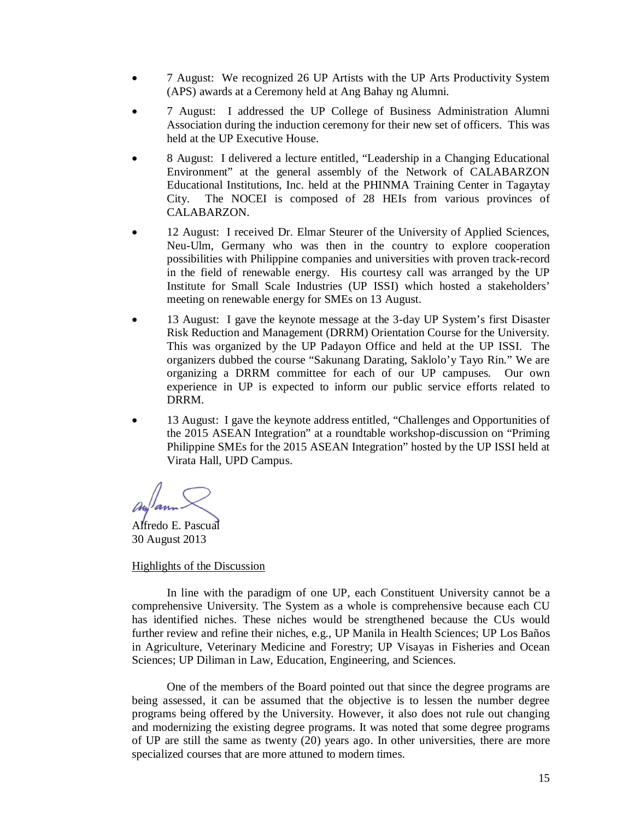- 7 August: We recognized 26 UP Artists with the UP Arts Productivity System (APS) awards at a Ceremony held at Ang Bahay ng Alumni.
- 7 August: I addressed the UP College of Business Administration Alumni Association during the induction ceremony for their new set of officers. This was held at the UP Executive House.
- 8 August: I delivered a lecture entitled, "Leadership in a Changing Educational Environment" at the general assembly of the Network of CALABARZON Educational Institutions, Inc. held at the PHINMA Training Center in Tagaytay City. The NOCEI is composed of 28 HEIs from various provinces of CALABARZON.
- 12 August: I received Dr. Elmar Steurer of the University of Applied Sciences, Neu-Ulm, Germany who was then in the country to explore cooperation possibilities with Philippine companies and universities with proven track-record in the field of renewable energy. His courtesy call was arranged by the UP Institute for Small Scale Industries (UP ISSI) which hosted a stakeholders' meeting on renewable energy for SMEs on 13 August.
- 13 August: I gave the keynote message at the 3-day UP System's first Disaster Risk Reduction and Management (DRRM) Orientation Course for the University. This was organized by the UP Padayon Office and held at the UP ISSI. The organizers dubbed the course "Sakunang Darating, Saklolo'y Tayo Rin." We are organizing a DRRM committee for each of our UP campuses. Our own experience in UP is expected to inform our public service efforts related to DRRM.
- 13 August: I gave the keynote address entitled, "Challenges and Opportunities of the 2015 ASEAN Integration" at a roundtable workshop-discussion on "Priming Philippine SMEs for the 2015 ASEAN Integration" hosted by the UP ISSI held at Virata Hall, UPD Campus.

Alfredo E. Pascual 30 August 2013

### Highlights of the Discussion

In line with the paradigm of one UP, each Constituent University cannot be a comprehensive University. The System as a whole is comprehensive because each CU has identified niches. These niches would be strengthened because the CUs would further review and refine their niches, e.g., UP Manila in Health Sciences; UP Los Baños in Agriculture, Veterinary Medicine and Forestry; UP Visayas in Fisheries and Ocean Sciences; UP Diliman in Law, Education, Engineering, and Sciences.

One of the members of the Board pointed out that since the degree programs are being assessed, it can be assumed that the objective is to lessen the number degree programs being offered by the University. However, it also does not rule out changing and modernizing the existing degree programs. It was noted that some degree programs of UP are still the same as twenty (20) years ago. In other universities, there are more specialized courses that are more attuned to modern times.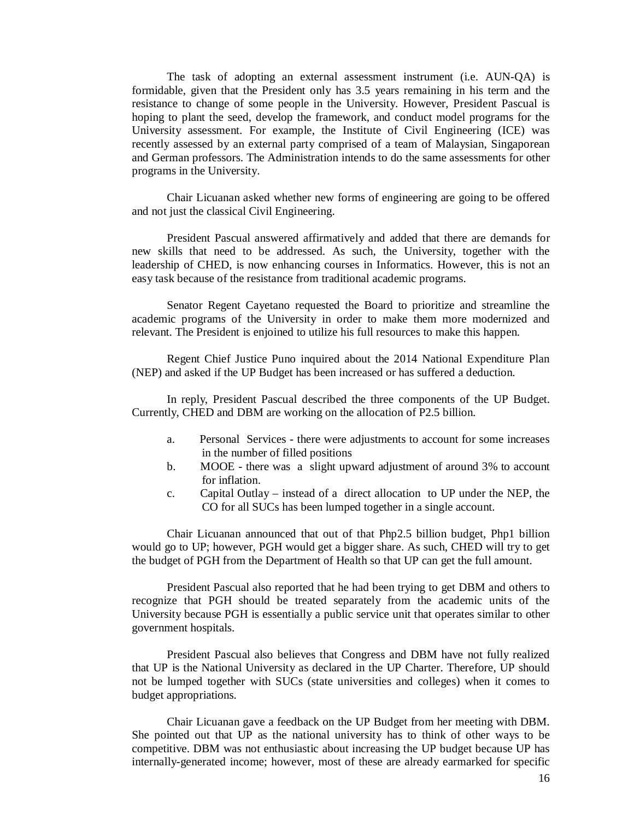The task of adopting an external assessment instrument (i.e. AUN-QA) is formidable, given that the President only has 3.5 years remaining in his term and the resistance to change of some people in the University. However, President Pascual is hoping to plant the seed, develop the framework, and conduct model programs for the University assessment. For example, the Institute of Civil Engineering (ICE) was recently assessed by an external party comprised of a team of Malaysian, Singaporean and German professors. The Administration intends to do the same assessments for other programs in the University.

Chair Licuanan asked whether new forms of engineering are going to be offered and not just the classical Civil Engineering.

President Pascual answered affirmatively and added that there are demands for new skills that need to be addressed. As such, the University, together with the leadership of CHED, is now enhancing courses in Informatics. However, this is not an easy task because of the resistance from traditional academic programs.

Senator Regent Cayetano requested the Board to prioritize and streamline the academic programs of the University in order to make them more modernized and relevant. The President is enjoined to utilize his full resources to make this happen.

Regent Chief Justice Puno inquired about the 2014 National Expenditure Plan (NEP) and asked if the UP Budget has been increased or has suffered a deduction.

In reply, President Pascual described the three components of the UP Budget. Currently, CHED and DBM are working on the allocation of P2.5 billion.

- a. Personal Services there were adjustments to account for some increases in the number of filled positions
- b. MOOE there was a slight upward adjustment of around 3% to account for inflation.
- c. Capital Outlay instead of a direct allocation to UP under the NEP, the CO for all SUCs has been lumped together in a single account.

Chair Licuanan announced that out of that Php2.5 billion budget, Php1 billion would go to UP; however, PGH would get a bigger share. As such, CHED will try to get the budget of PGH from the Department of Health so that UP can get the full amount.

President Pascual also reported that he had been trying to get DBM and others to recognize that PGH should be treated separately from the academic units of the University because PGH is essentially a public service unit that operates similar to other government hospitals.

President Pascual also believes that Congress and DBM have not fully realized that UP is the National University as declared in the UP Charter. Therefore, UP should not be lumped together with SUCs (state universities and colleges) when it comes to budget appropriations.

Chair Licuanan gave a feedback on the UP Budget from her meeting with DBM. She pointed out that UP as the national university has to think of other ways to be competitive. DBM was not enthusiastic about increasing the UP budget because UP has internally-generated income; however, most of these are already earmarked for specific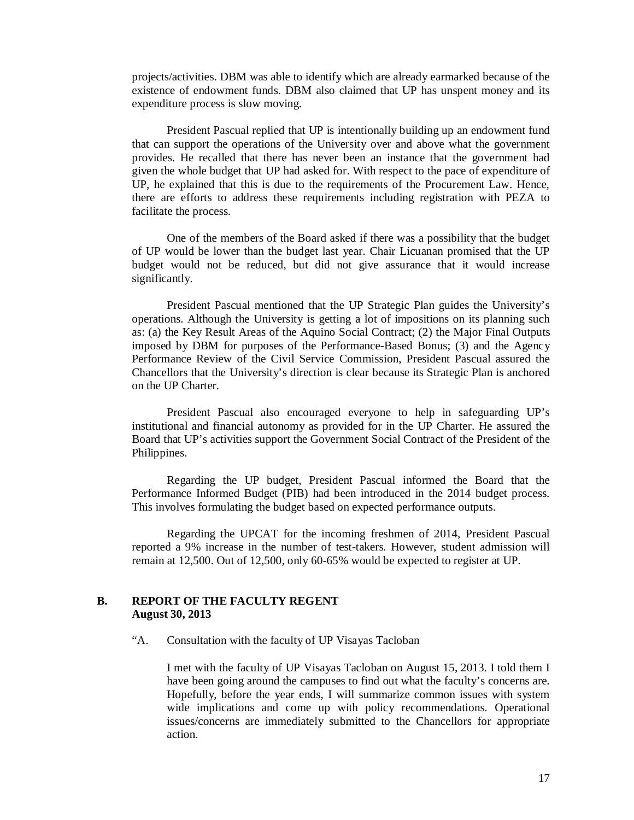projects/activities. DBM was able to identify which are already earmarked because of the existence of endowment funds. DBM also claimed that UP has unspent money and its expenditure process is slow moving.

President Pascual replied that UP is intentionally building up an endowment fund that can support the operations of the University over and above what the government provides. He recalled that there has never been an instance that the government had given the whole budget that UP had asked for. With respect to the pace of expenditure of UP, he explained that this is due to the requirements of the Procurement Law. Hence, there are efforts to address these requirements including registration with PEZA to facilitate the process.

One of the members of the Board asked if there was a possibility that the budget of UP would be lower than the budget last year. Chair Licuanan promised that the UP budget would not be reduced, but did not give assurance that it would increase significantly.

President Pascual mentioned that the UP Strategic Plan guides the University's operations. Although the University is getting a lot of impositions on its planning such as: (a) the Key Result Areas of the Aquino Social Contract; (2) the Major Final Outputs imposed by DBM for purposes of the Performance-Based Bonus; (3) and the Agency Performance Review of the Civil Service Commission, President Pascual assured the Chancellors that the University's direction is clear because its Strategic Plan is anchored on the UP Charter.

President Pascual also encouraged everyone to help in safeguarding UP's institutional and financial autonomy as provided for in the UP Charter. He assured the Board that UP's activities support the Government Social Contract of the President of the Philippines.

Regarding the UP budget, President Pascual informed the Board that the Performance Informed Budget (PIB) had been introduced in the 2014 budget process. This involves formulating the budget based on expected performance outputs.

Regarding the UPCAT for the incoming freshmen of 2014, President Pascual reported a 9% increase in the number of test-takers. However, student admission will remain at 12,500. Out of 12,500, only 60-65% would be expected to register at UP.

### **B. REPORT OF THE FACULTY REGENT August 30, 2013**

"A. Consultation with the faculty of UP Visayas Tacloban

I met with the faculty of UP Visayas Tacloban on August 15, 2013. I told them I have been going around the campuses to find out what the faculty's concerns are. Hopefully, before the year ends, I will summarize common issues with system wide implications and come up with policy recommendations. Operational issues/concerns are immediately submitted to the Chancellors for appropriate action.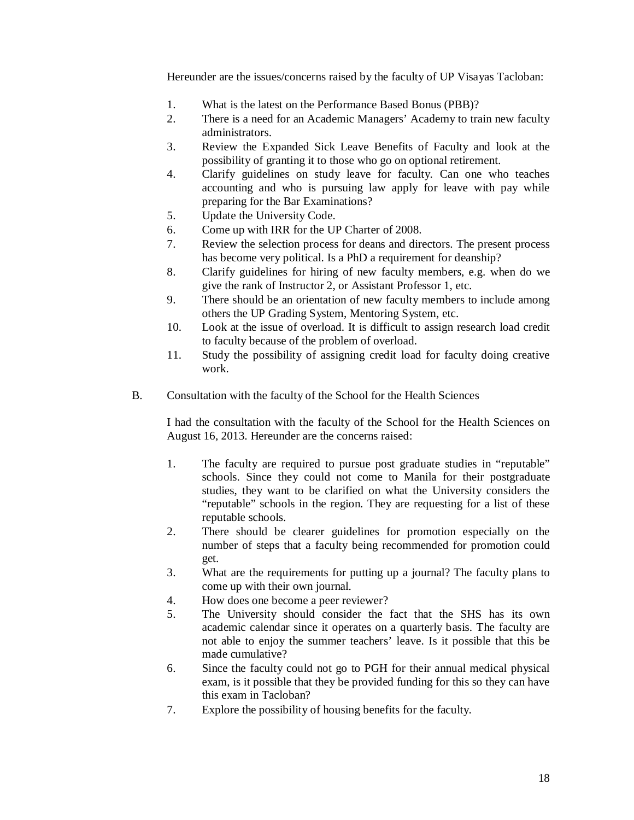Hereunder are the issues/concerns raised by the faculty of UP Visayas Tacloban:

- 1. What is the latest on the Performance Based Bonus (PBB)?
- 2. There is a need for an Academic Managers' Academy to train new faculty administrators.
- 3. Review the Expanded Sick Leave Benefits of Faculty and look at the possibility of granting it to those who go on optional retirement.
- 4. Clarify guidelines on study leave for faculty. Can one who teaches accounting and who is pursuing law apply for leave with pay while preparing for the Bar Examinations?
- 5. Update the University Code.
- 6. Come up with IRR for the UP Charter of 2008.
- 7. Review the selection process for deans and directors. The present process has become very political. Is a PhD a requirement for deanship?
- 8. Clarify guidelines for hiring of new faculty members, e.g. when do we give the rank of Instructor 2, or Assistant Professor 1, etc.
- 9. There should be an orientation of new faculty members to include among others the UP Grading System, Mentoring System, etc.
- 10. Look at the issue of overload. It is difficult to assign research load credit to faculty because of the problem of overload.
- 11. Study the possibility of assigning credit load for faculty doing creative work.
- B. Consultation with the faculty of the School for the Health Sciences

I had the consultation with the faculty of the School for the Health Sciences on August 16, 2013. Hereunder are the concerns raised:

- 1. The faculty are required to pursue post graduate studies in "reputable" schools. Since they could not come to Manila for their postgraduate studies, they want to be clarified on what the University considers the "reputable" schools in the region. They are requesting for a list of these reputable schools.
- 2. There should be clearer guidelines for promotion especially on the number of steps that a faculty being recommended for promotion could get.
- 3. What are the requirements for putting up a journal? The faculty plans to come up with their own journal.
- 4. How does one become a peer reviewer?
- 5. The University should consider the fact that the SHS has its own academic calendar since it operates on a quarterly basis. The faculty are not able to enjoy the summer teachers' leave. Is it possible that this be made cumulative?
- 6. Since the faculty could not go to PGH for their annual medical physical exam, is it possible that they be provided funding for this so they can have this exam in Tacloban?
- 7. Explore the possibility of housing benefits for the faculty.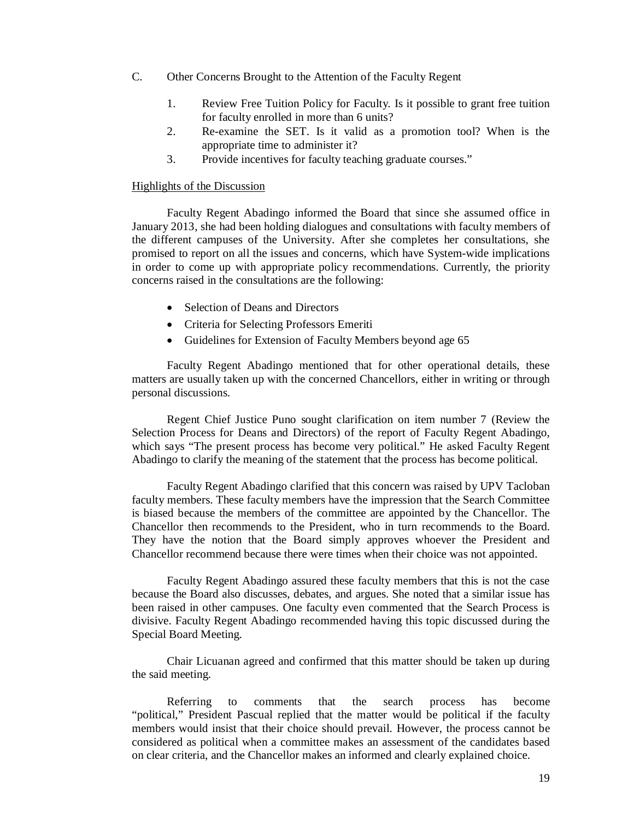- C. Other Concerns Brought to the Attention of the Faculty Regent
	- 1. Review Free Tuition Policy for Faculty. Is it possible to grant free tuition for faculty enrolled in more than 6 units?
	- 2. Re-examine the SET. Is it valid as a promotion tool? When is the appropriate time to administer it?
	- 3. Provide incentives for faculty teaching graduate courses."

#### Highlights of the Discussion

Faculty Regent Abadingo informed the Board that since she assumed office in January 2013, she had been holding dialogues and consultations with faculty members of the different campuses of the University. After she completes her consultations, she promised to report on all the issues and concerns, which have System-wide implications in order to come up with appropriate policy recommendations. Currently, the priority concerns raised in the consultations are the following:

- Selection of Deans and Directors
- Criteria for Selecting Professors Emeriti
- Guidelines for Extension of Faculty Members beyond age 65

Faculty Regent Abadingo mentioned that for other operational details, these matters are usually taken up with the concerned Chancellors, either in writing or through personal discussions.

Regent Chief Justice Puno sought clarification on item number 7 (Review the Selection Process for Deans and Directors) of the report of Faculty Regent Abadingo, which says "The present process has become very political." He asked Faculty Regent Abadingo to clarify the meaning of the statement that the process has become political.

Faculty Regent Abadingo clarified that this concern was raised by UPV Tacloban faculty members. These faculty members have the impression that the Search Committee is biased because the members of the committee are appointed by the Chancellor. The Chancellor then recommends to the President, who in turn recommends to the Board. They have the notion that the Board simply approves whoever the President and Chancellor recommend because there were times when their choice was not appointed.

Faculty Regent Abadingo assured these faculty members that this is not the case because the Board also discusses, debates, and argues. She noted that a similar issue has been raised in other campuses. One faculty even commented that the Search Process is divisive. Faculty Regent Abadingo recommended having this topic discussed during the Special Board Meeting.

Chair Licuanan agreed and confirmed that this matter should be taken up during the said meeting.

Referring to comments that the search process has become "political," President Pascual replied that the matter would be political if the faculty members would insist that their choice should prevail. However, the process cannot be considered as political when a committee makes an assessment of the candidates based on clear criteria, and the Chancellor makes an informed and clearly explained choice.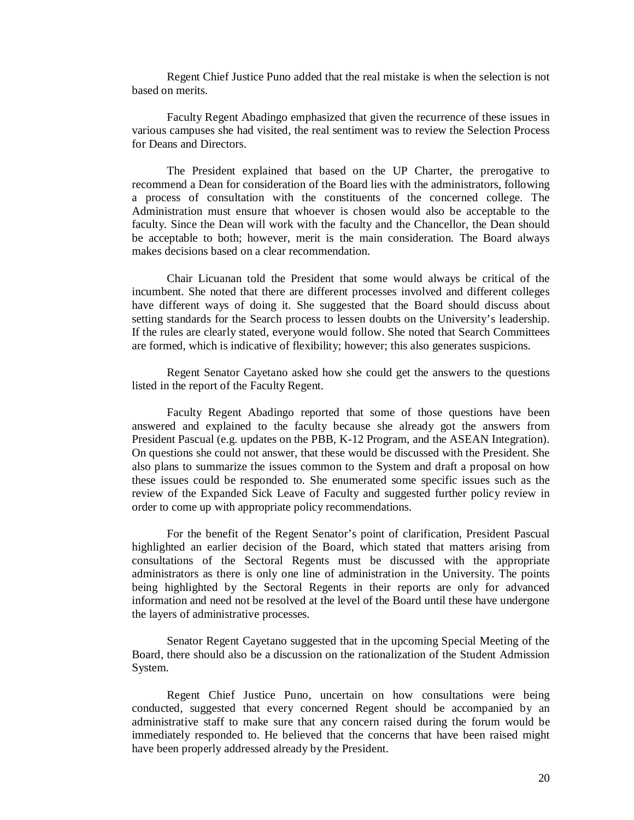Regent Chief Justice Puno added that the real mistake is when the selection is not based on merits.

Faculty Regent Abadingo emphasized that given the recurrence of these issues in various campuses she had visited, the real sentiment was to review the Selection Process for Deans and Directors.

The President explained that based on the UP Charter, the prerogative to recommend a Dean for consideration of the Board lies with the administrators, following a process of consultation with the constituents of the concerned college. The Administration must ensure that whoever is chosen would also be acceptable to the faculty. Since the Dean will work with the faculty and the Chancellor, the Dean should be acceptable to both; however, merit is the main consideration. The Board always makes decisions based on a clear recommendation.

Chair Licuanan told the President that some would always be critical of the incumbent. She noted that there are different processes involved and different colleges have different ways of doing it. She suggested that the Board should discuss about setting standards for the Search process to lessen doubts on the University's leadership. If the rules are clearly stated, everyone would follow. She noted that Search Committees are formed, which is indicative of flexibility; however; this also generates suspicions.

Regent Senator Cayetano asked how she could get the answers to the questions listed in the report of the Faculty Regent.

Faculty Regent Abadingo reported that some of those questions have been answered and explained to the faculty because she already got the answers from President Pascual (e.g. updates on the PBB, K-12 Program, and the ASEAN Integration). On questions she could not answer, that these would be discussed with the President. She also plans to summarize the issues common to the System and draft a proposal on how these issues could be responded to. She enumerated some specific issues such as the review of the Expanded Sick Leave of Faculty and suggested further policy review in order to come up with appropriate policy recommendations.

For the benefit of the Regent Senator's point of clarification, President Pascual highlighted an earlier decision of the Board, which stated that matters arising from consultations of the Sectoral Regents must be discussed with the appropriate administrators as there is only one line of administration in the University. The points being highlighted by the Sectoral Regents in their reports are only for advanced information and need not be resolved at the level of the Board until these have undergone the layers of administrative processes.

Senator Regent Cayetano suggested that in the upcoming Special Meeting of the Board, there should also be a discussion on the rationalization of the Student Admission System.

Regent Chief Justice Puno, uncertain on how consultations were being conducted, suggested that every concerned Regent should be accompanied by an administrative staff to make sure that any concern raised during the forum would be immediately responded to. He believed that the concerns that have been raised might have been properly addressed already by the President.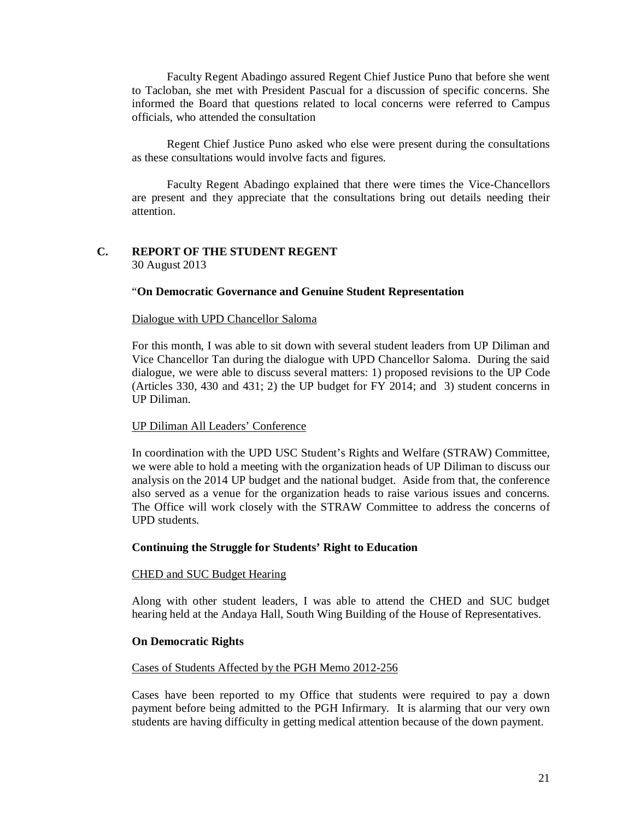Faculty Regent Abadingo assured Regent Chief Justice Puno that before she went to Tacloban, she met with President Pascual for a discussion of specific concerns. She informed the Board that questions related to local concerns were referred to Campus officials, who attended the consultation

Regent Chief Justice Puno asked who else were present during the consultations as these consultations would involve facts and figures.

Faculty Regent Abadingo explained that there were times the Vice-Chancellors are present and they appreciate that the consultations bring out details needing their attention.

### **C. REPORT OF THE STUDENT REGENT** 30 August 2013

### "**On Democratic Governance and Genuine Student Representation**

### Dialogue with UPD Chancellor Saloma

For this month, I was able to sit down with several student leaders from UP Diliman and Vice Chancellor Tan during the dialogue with UPD Chancellor Saloma. During the said dialogue, we were able to discuss several matters: 1) proposed revisions to the UP Code (Articles 330, 430 and 431; 2) the UP budget for FY 2014; and 3) student concerns in UP Diliman.

### UP Diliman All Leaders' Conference

In coordination with the UPD USC Student's Rights and Welfare (STRAW) Committee, we were able to hold a meeting with the organization heads of UP Diliman to discuss our analysis on the 2014 UP budget and the national budget. Aside from that, the conference also served as a venue for the organization heads to raise various issues and concerns. The Office will work closely with the STRAW Committee to address the concerns of UPD students.

### **Continuing the Struggle for Students' Right to Education**

### CHED and SUC Budget Hearing

Along with other student leaders, I was able to attend the CHED and SUC budget hearing held at the Andaya Hall, South Wing Building of the House of Representatives.

### **On Democratic Rights**

### Cases of Students Affected by the PGH Memo 2012-256

Cases have been reported to my Office that students were required to pay a down payment before being admitted to the PGH Infirmary. It is alarming that our very own students are having difficulty in getting medical attention because of the down payment.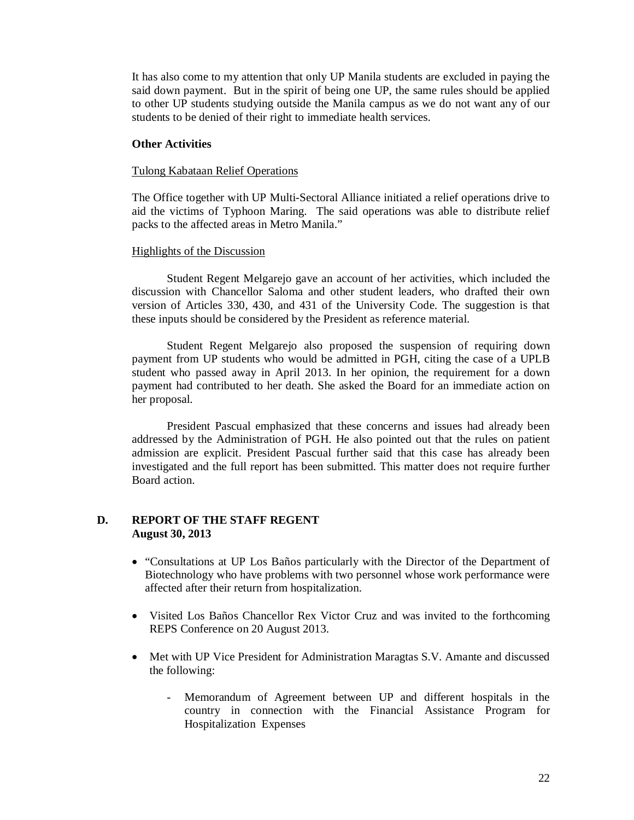It has also come to my attention that only UP Manila students are excluded in paying the said down payment. But in the spirit of being one UP, the same rules should be applied to other UP students studying outside the Manila campus as we do not want any of our students to be denied of their right to immediate health services.

### **Other Activities**

### Tulong Kabataan Relief Operations

The Office together with UP Multi-Sectoral Alliance initiated a relief operations drive to aid the victims of Typhoon Maring. The said operations was able to distribute relief packs to the affected areas in Metro Manila."

### Highlights of the Discussion

Student Regent Melgarejo gave an account of her activities, which included the discussion with Chancellor Saloma and other student leaders, who drafted their own version of Articles 330, 430, and 431 of the University Code. The suggestion is that these inputs should be considered by the President as reference material.

Student Regent Melgarejo also proposed the suspension of requiring down payment from UP students who would be admitted in PGH, citing the case of a UPLB student who passed away in April 2013. In her opinion, the requirement for a down payment had contributed to her death. She asked the Board for an immediate action on her proposal.

President Pascual emphasized that these concerns and issues had already been addressed by the Administration of PGH. He also pointed out that the rules on patient admission are explicit. President Pascual further said that this case has already been investigated and the full report has been submitted. This matter does not require further Board action.

### **D. REPORT OF THE STAFF REGENT August 30, 2013**

- "Consultations at UP Los Baños particularly with the Director of the Department of Biotechnology who have problems with two personnel whose work performance were affected after their return from hospitalization.
- Visited Los Baños Chancellor Rex Victor Cruz and was invited to the forthcoming REPS Conference on 20 August 2013.
- Met with UP Vice President for Administration Maragtas S.V. Amante and discussed the following:
	- Memorandum of Agreement between UP and different hospitals in the country in connection with the Financial Assistance Program for Hospitalization Expenses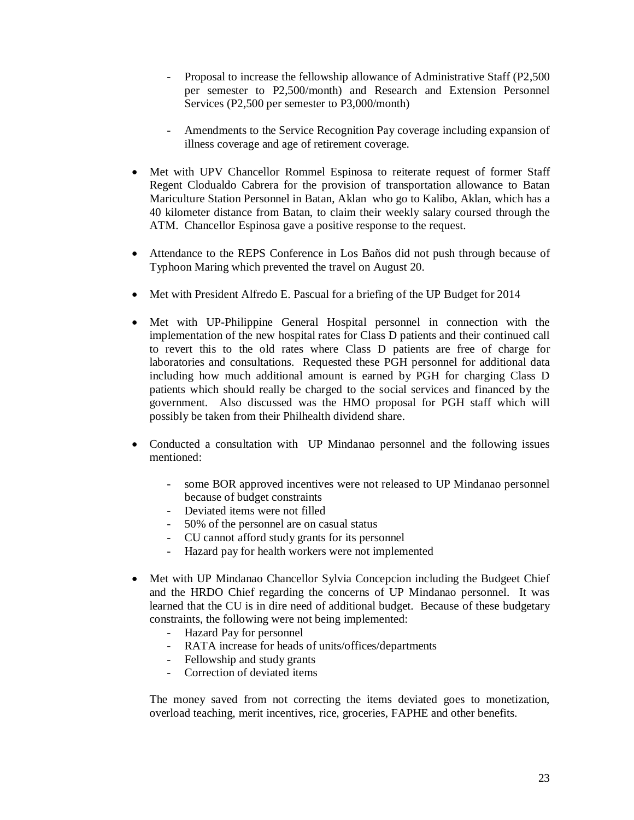- Proposal to increase the fellowship allowance of Administrative Staff (P2,500) per semester to P2,500/month) and Research and Extension Personnel Services (P2,500 per semester to P3,000/month)
- Amendments to the Service Recognition Pay coverage including expansion of illness coverage and age of retirement coverage.
- Met with UPV Chancellor Rommel Espinosa to reiterate request of former Staff Regent Clodualdo Cabrera for the provision of transportation allowance to Batan Mariculture Station Personnel in Batan, Aklan who go to Kalibo, Aklan, which has a 40 kilometer distance from Batan, to claim their weekly salary coursed through the ATM. Chancellor Espinosa gave a positive response to the request.
- Attendance to the REPS Conference in Los Baños did not push through because of Typhoon Maring which prevented the travel on August 20.
- Met with President Alfredo E. Pascual for a briefing of the UP Budget for 2014
- Met with UP-Philippine General Hospital personnel in connection with the implementation of the new hospital rates for Class D patients and their continued call to revert this to the old rates where Class D patients are free of charge for laboratories and consultations. Requested these PGH personnel for additional data including how much additional amount is earned by PGH for charging Class D patients which should really be charged to the social services and financed by the government. Also discussed was the HMO proposal for PGH staff which will possibly be taken from their Philhealth dividend share.
- Conducted a consultation with UP Mindanao personnel and the following issues mentioned:
	- some BOR approved incentives were not released to UP Mindanao personnel because of budget constraints
	- Deviated items were not filled
	- 50% of the personnel are on casual status
	- CU cannot afford study grants for its personnel
	- Hazard pay for health workers were not implemented
- Met with UP Mindanao Chancellor Sylvia Concepcion including the Budgeet Chief and the HRDO Chief regarding the concerns of UP Mindanao personnel. It was learned that the CU is in dire need of additional budget. Because of these budgetary constraints, the following were not being implemented:
	- Hazard Pay for personnel
	- RATA increase for heads of units/offices/departments
	- Fellowship and study grants
	- Correction of deviated items

The money saved from not correcting the items deviated goes to monetization, overload teaching, merit incentives, rice, groceries, FAPHE and other benefits.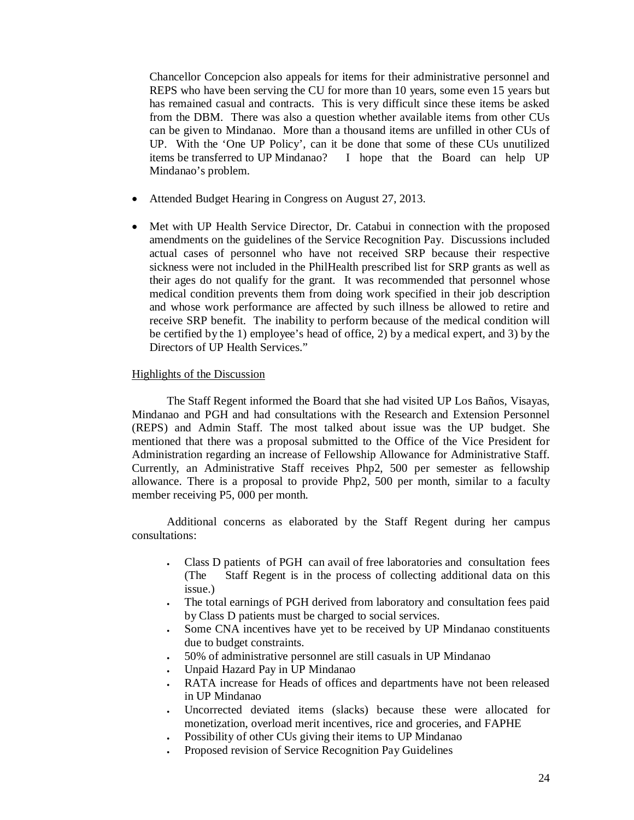Chancellor Concepcion also appeals for items for their administrative personnel and REPS who have been serving the CU for more than 10 years, some even 15 years but has remained casual and contracts. This is very difficult since these items be asked from the DBM. There was also a question whether available items from other CUs can be given to Mindanao. More than a thousand items are unfilled in other CUs of UP. With the 'One UP Policy', can it be done that some of these CUs unutilized items be transferred to UP Mindanao? I hope that the Board can help UP Mindanao's problem.

- Attended Budget Hearing in Congress on August 27, 2013.
- Met with UP Health Service Director, Dr. Catabui in connection with the proposed amendments on the guidelines of the Service Recognition Pay. Discussions included actual cases of personnel who have not received SRP because their respective sickness were not included in the PhilHealth prescribed list for SRP grants as well as their ages do not qualify for the grant. It was recommended that personnel whose medical condition prevents them from doing work specified in their job description and whose work performance are affected by such illness be allowed to retire and receive SRP benefit. The inability to perform because of the medical condition will be certified by the 1) employee's head of office, 2) by a medical expert, and 3) by the Directors of UP Health Services."

### Highlights of the Discussion

The Staff Regent informed the Board that she had visited UP Los Baños, Visayas, Mindanao and PGH and had consultations with the Research and Extension Personnel (REPS) and Admin Staff. The most talked about issue was the UP budget. She mentioned that there was a proposal submitted to the Office of the Vice President for Administration regarding an increase of Fellowship Allowance for Administrative Staff. Currently, an Administrative Staff receives Php2, 500 per semester as fellowship allowance. There is a proposal to provide Php2, 500 per month, similar to a faculty member receiving P5, 000 per month.

Additional concerns as elaborated by the Staff Regent during her campus consultations:

- Class D patients of PGH can avail of free laboratories and consultation fees (The Staff Regent is in the process of collecting additional data on this issue.)
- The total earnings of PGH derived from laboratory and consultation fees paid by Class D patients must be charged to social services.
- Some CNA incentives have yet to be received by UP Mindanao constituents due to budget constraints.
- 50% of administrative personnel are still casuals in UP Mindanao
- Unpaid Hazard Pay in UP Mindanao
- RATA increase for Heads of offices and departments have not been released in UP Mindanao
- Uncorrected deviated items (slacks) because these were allocated for monetization, overload merit incentives, rice and groceries, and FAPHE
- Possibility of other CUs giving their items to UP Mindanao
- Proposed revision of Service Recognition Pay Guidelines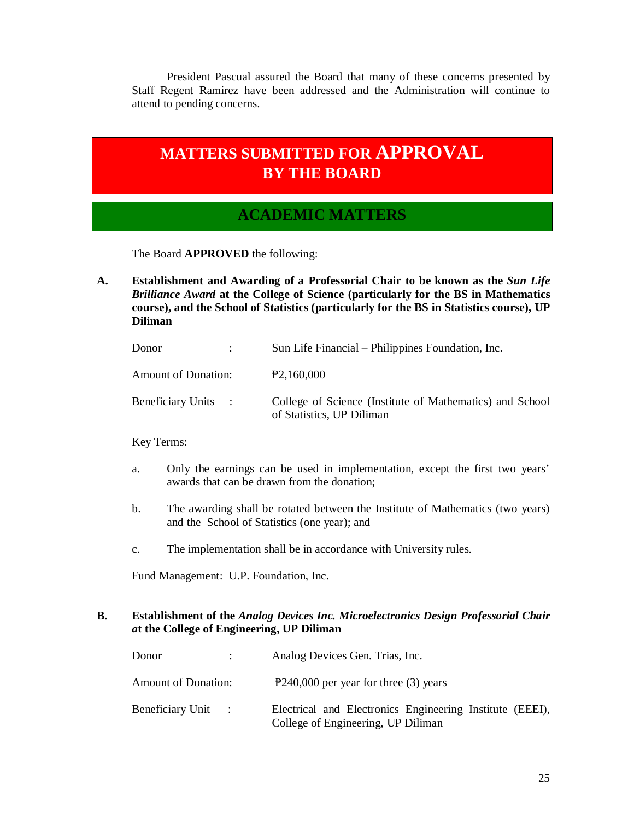President Pascual assured the Board that many of these concerns presented by Staff Regent Ramirez have been addressed and the Administration will continue to attend to pending concerns.

# **MATTERS SUBMITTED FOR APPROVAL BY THE BOARD**

## **The Board ACADEMIC MATTERS**

The Board **APPROVED** the following:

**A. Establishment and Awarding of a Professorial Chair to be known as the** *Sun Life Brilliance Award* **at the College of Science (particularly for the BS in Mathematics course), and the School of Statistics (particularly for the BS in Statistics course), UP Diliman**

| Donor                      | Sun Life Financial – Philippines Foundation, Inc.                                     |
|----------------------------|---------------------------------------------------------------------------------------|
| <b>Amount of Donation:</b> | P2,160,000                                                                            |
| <b>Beneficiary Units :</b> | College of Science (Institute of Mathematics) and School<br>of Statistics, UP Diliman |

Key Terms:

- a. Only the earnings can be used in implementation, except the first two years' awards that can be drawn from the donation;
- b. The awarding shall be rotated between the Institute of Mathematics (two years) and the School of Statistics (one year); and
- c. The implementation shall be in accordance with University rules.

Fund Management: U.P. Foundation, Inc.

### **B. Establishment of the** *Analog Devices Inc. Microelectronics Design Professorial Chair a***t the College of Engineering, UP Diliman**

| Donor                      | $\mathcal{L}$ | Analog Devices Gen. Trias, Inc.                                                                |
|----------------------------|---------------|------------------------------------------------------------------------------------------------|
| <b>Amount of Donation:</b> |               | $P$ 240,000 per year for three (3) years                                                       |
| Beneficiary Unit :         |               | Electrical and Electronics Engineering Institute (EEEI),<br>College of Engineering, UP Diliman |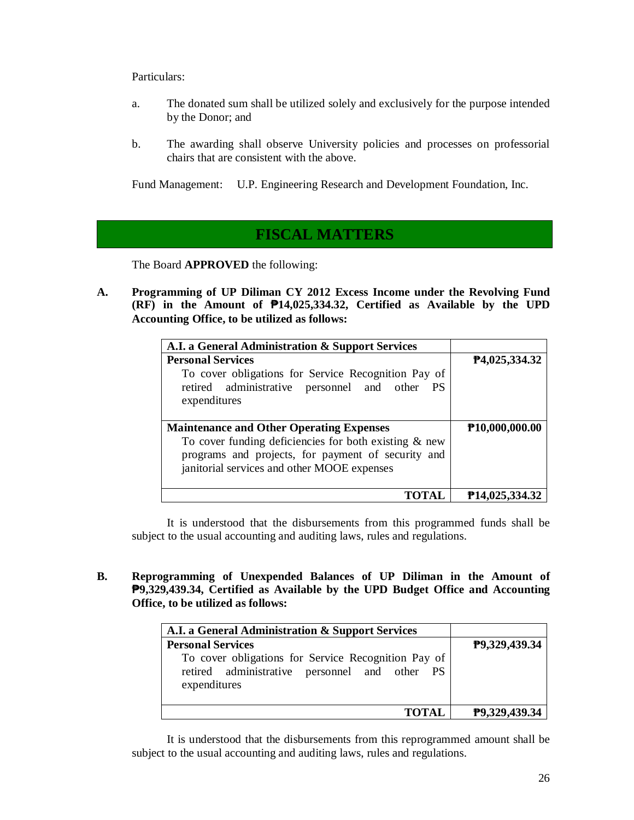Particulars:

- a. The donated sum shall be utilized solely and exclusively for the purpose intended by the Donor; and
- b. The awarding shall observe University policies and processes on professorial chairs that are consistent with the above.

Fund Management: U.P. Engineering Research and Development Foundation, Inc.

## **FISCAL MATTERS**

The Board **APPROVED** the following:

**A. Programming of UP Diliman CY 2012 Excess Income under the Revolving Fund (RF) in the Amount of ₱14,025,334.32, Certified as Available by the UPD Accounting Office, to be utilized as follows:**

| A.I. a General Administration & Support Services         |                             |
|----------------------------------------------------------|-----------------------------|
| <b>Personal Services</b>                                 | P4,025,334.32               |
| To cover obligations for Service Recognition Pay of      |                             |
| retired administrative personnel and other PS            |                             |
| expenditures                                             |                             |
|                                                          |                             |
| <b>Maintenance and Other Operating Expenses</b>          | P10,000,000.00              |
| To cover funding deficiencies for both existing $\&$ new |                             |
| programs and projects, for payment of security and       |                             |
| janitorial services and other MOOE expenses              |                             |
|                                                          |                             |
| TOTAL                                                    | P <sub>14</sub> ,025,334.32 |

It is understood that the disbursements from this programmed funds shall be subject to the usual accounting and auditing laws, rules and regulations.

**B. Reprogramming of Unexpended Balances of UP Diliman in the Amount of ₱9,329,439.34, Certified as Available by the UPD Budget Office and Accounting Office, to be utilized as follows:**

| A.I. a General Administration & Support Services                                                                     |               |
|----------------------------------------------------------------------------------------------------------------------|---------------|
| <b>Personal Services</b>                                                                                             | P9,329,439.34 |
| To cover obligations for Service Recognition Pay of<br>retired administrative personnel and other PS<br>expenditures |               |
| <b>TOTAL</b>                                                                                                         | P9,329,439.34 |

It is understood that the disbursements from this reprogrammed amount shall be subject to the usual accounting and auditing laws, rules and regulations.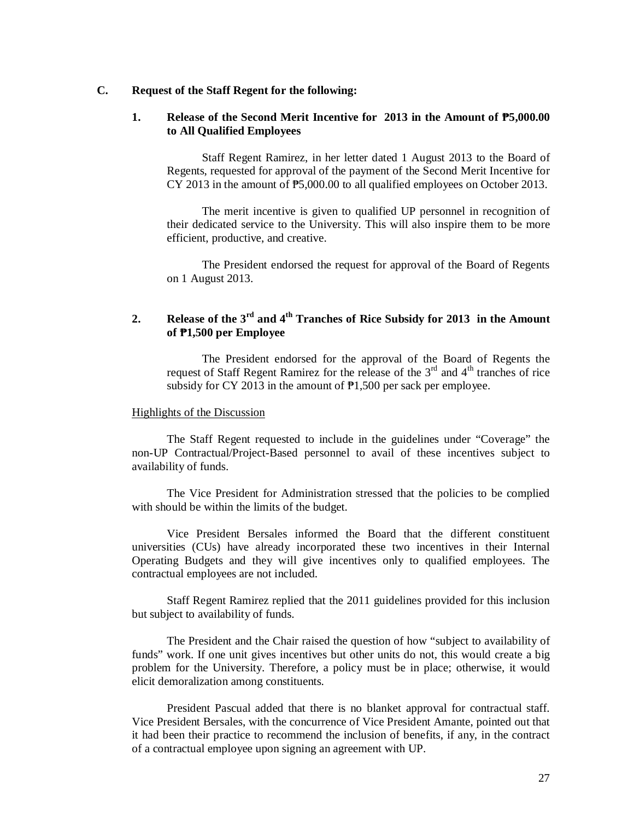### **C. Request of the Staff Regent for the following:**

### **1. Release of the Second Merit Incentive for 2013 in the Amount of ₱5,000.00 to All Qualified Employees**

Staff Regent Ramirez, in her letter dated 1 August 2013 to the Board of Regents, requested for approval of the payment of the Second Merit Incentive for CY 2013 in the amount of ₱5,000.00 to all qualified employees on October 2013.

The merit incentive is given to qualified UP personnel in recognition of their dedicated service to the University. This will also inspire them to be more efficient, productive, and creative.

The President endorsed the request for approval of the Board of Regents on 1 August 2013.

### **2. Release of the 3rd and 4th Tranches of Rice Subsidy for 2013 in the Amount of ₱1,500 per Employee**

The President endorsed for the approval of the Board of Regents the request of Staff Regent Ramirez for the release of the  $3<sup>rd</sup>$  and  $4<sup>th</sup>$  tranches of rice subsidy for CY 2013 in the amount of  $\overline{P}1,500$  per sack per employee.

#### Highlights of the Discussion

The Staff Regent requested to include in the guidelines under "Coverage" the non-UP Contractual/Project-Based personnel to avail of these incentives subject to availability of funds.

The Vice President for Administration stressed that the policies to be complied with should be within the limits of the budget.

Vice President Bersales informed the Board that the different constituent universities (CUs) have already incorporated these two incentives in their Internal Operating Budgets and they will give incentives only to qualified employees. The contractual employees are not included.

Staff Regent Ramirez replied that the 2011 guidelines provided for this inclusion but subject to availability of funds.

The President and the Chair raised the question of how "subject to availability of funds" work. If one unit gives incentives but other units do not, this would create a big problem for the University. Therefore, a policy must be in place; otherwise, it would elicit demoralization among constituents.

President Pascual added that there is no blanket approval for contractual staff. Vice President Bersales, with the concurrence of Vice President Amante, pointed out that it had been their practice to recommend the inclusion of benefits, if any, in the contract of a contractual employee upon signing an agreement with UP.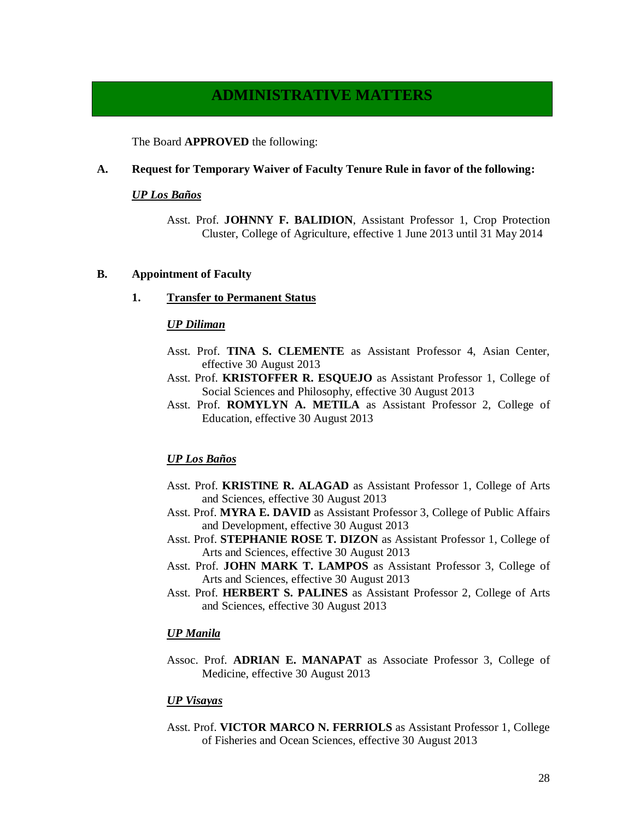## **ADMINISTRATIVE MATTERS**

The Board **APPROVED** the following:

### **A. Request for Temporary Waiver of Faculty Tenure Rule in favor of the following:**

### *UP Los Baños*

Asst. Prof. **JOHNNY F. BALIDION**, Assistant Professor 1, Crop Protection Cluster, College of Agriculture, effective 1 June 2013 until 31 May 2014

### **B. Appointment of Faculty**

**1. Transfer to Permanent Status**

#### *UP Diliman*

- Asst. Prof. **TINA S. CLEMENTE** as Assistant Professor 4, Asian Center, effective 30 August 2013
- Asst. Prof. **KRISTOFFER R. ESQUEJO** as Assistant Professor 1, College of Social Sciences and Philosophy, effective 30 August 2013
- Asst. Prof. **ROMYLYN A. METILA** as Assistant Professor 2, College of Education, effective 30 August 2013

### *UP Los Baños*

- Asst. Prof. **KRISTINE R. ALAGAD** as Assistant Professor 1, College of Arts and Sciences, effective 30 August 2013
- Asst. Prof. **MYRA E. DAVID** as Assistant Professor 3, College of Public Affairs and Development, effective 30 August 2013
- Asst. Prof. **STEPHANIE ROSE T. DIZON** as Assistant Professor 1, College of Arts and Sciences, effective 30 August 2013
- Asst. Prof. **JOHN MARK T. LAMPOS** as Assistant Professor 3, College of Arts and Sciences, effective 30 August 2013
- Asst. Prof. **HERBERT S. PALINES** as Assistant Professor 2, College of Arts and Sciences, effective 30 August 2013

### *UP Manila*

Assoc. Prof. **ADRIAN E. MANAPAT** as Associate Professor 3, College of Medicine, effective 30 August 2013

### *UP Visayas*

Asst. Prof. **VICTOR MARCO N. FERRIOLS** as Assistant Professor 1, College of Fisheries and Ocean Sciences, effective 30 August 2013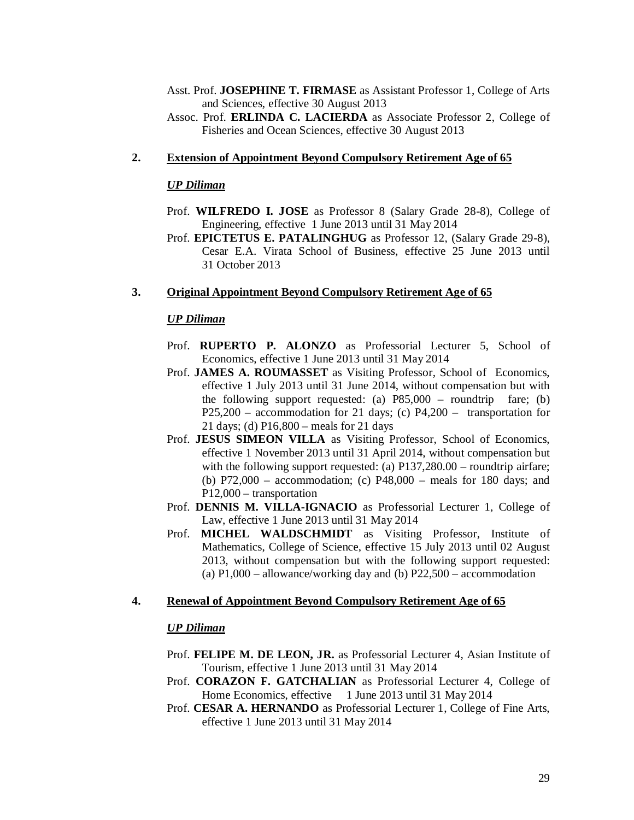- Asst. Prof. **JOSEPHINE T. FIRMASE** as Assistant Professor 1, College of Arts and Sciences, effective 30 August 2013
- Assoc. Prof. **ERLINDA C. LACIERDA** as Associate Professor 2, College of Fisheries and Ocean Sciences, effective 30 August 2013

### **2. Extension of Appointment Beyond Compulsory Retirement Age of 65**

### *UP Diliman*

- Prof. **WILFREDO I. JOSE** as Professor 8 (Salary Grade 28-8), College of Engineering, effective 1 June 2013 until 31 May 2014
- Prof. **EPICTETUS E. PATALINGHUG** as Professor 12, (Salary Grade 29-8), Cesar E.A. Virata School of Business, effective 25 June 2013 until 31 October 2013

### **3. Original Appointment Beyond Compulsory Retirement Age of 65**

### *UP Diliman*

- Prof. **RUPERTO P. ALONZO** as Professorial Lecturer 5, School of Economics, effective 1 June 2013 until 31 May 2014
- Prof. **JAMES A. ROUMASSET** as Visiting Professor, School of Economics, effective 1 July 2013 until 31 June 2014, without compensation but with the following support requested: (a) P85,000 – roundtrip fare; (b) P25,200 – accommodation for 21 days; (c) P4,200 – transportation for 21 days; (d) P16,800 – meals for 21 days
- Prof. **JESUS SIMEON VILLA** as Visiting Professor, School of Economics, effective 1 November 2013 until 31 April 2014, without compensation but with the following support requested: (a) P137,280.00 – roundtrip airfare; (b) P72,000 – accommodation; (c) P48,000 – meals for 180 days; and P12,000 – transportation
- Prof. **DENNIS M. VILLA-IGNACIO** as Professorial Lecturer 1, College of Law, effective 1 June 2013 until 31 May 2014
- Prof. **MICHEL WALDSCHMIDT** as Visiting Professor, Institute of Mathematics, College of Science, effective 15 July 2013 until 02 August 2013, without compensation but with the following support requested: (a) P1,000 – allowance/working day and (b) P22,500 – accommodation

#### **4. Renewal of Appointment Beyond Compulsory Retirement Age of 65**

### *UP Diliman*

- Prof. **FELIPE M. DE LEON, JR.** as Professorial Lecturer 4, Asian Institute of Tourism, effective 1 June 2013 until 31 May 2014
- Prof. **CORAZON F. GATCHALIAN** as Professorial Lecturer 4, College of Home Economics, effective 1 June 2013 until 31 May 2014
- Prof. **CESAR A. HERNANDO** as Professorial Lecturer 1, College of Fine Arts, effective 1 June 2013 until 31 May 2014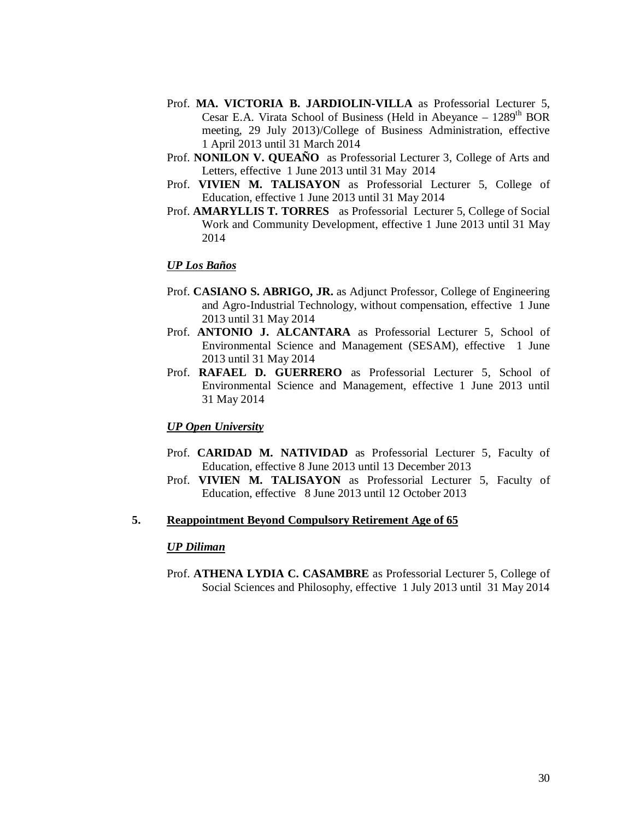- Prof. **MA. VICTORIA B. JARDIOLIN-VILLA** as Professorial Lecturer 5, Cesar E.A. Virata School of Business (Held in Abeyance  $-1289<sup>th</sup> BOR$ meeting, 29 July 2013)/College of Business Administration, effective 1 April 2013 until 31 March 2014
- Prof. **NONILON V. QUEAÑO** as Professorial Lecturer 3, College of Arts and Letters, effective 1 June 2013 until 31 May 2014
- Prof. **VIVIEN M. TALISAYON** as Professorial Lecturer 5, College of Education, effective 1 June 2013 until 31 May 2014
- Prof. **AMARYLLIS T. TORRES** as Professorial Lecturer 5, College of Social Work and Community Development, effective 1 June 2013 until 31 May 2014

### *UP Los Baños*

- Prof. **CASIANO S. ABRIGO, JR.** as Adjunct Professor, College of Engineering and Agro-Industrial Technology, without compensation, effective 1 June 2013 until 31 May 2014
- Prof. **ANTONIO J. ALCANTARA** as Professorial Lecturer 5, School of Environmental Science and Management (SESAM), effective 1 June 2013 until 31 May 2014
- Prof. **RAFAEL D. GUERRERO** as Professorial Lecturer 5, School of Environmental Science and Management, effective 1 June 2013 until 31 May 2014

### *UP Open University*

- Prof. **CARIDAD M. NATIVIDAD** as Professorial Lecturer 5, Faculty of Education, effective 8 June 2013 until 13 December 2013
- Prof. **VIVIEN M. TALISAYON** as Professorial Lecturer 5, Faculty of Education, effective 8 June 2013 until 12 October 2013

### **5. Reappointment Beyond Compulsory Retirement Age of 65**

### *UP Diliman*

Prof. **ATHENA LYDIA C. CASAMBRE** as Professorial Lecturer 5, College of Social Sciences and Philosophy, effective 1 July 2013 until 31 May 2014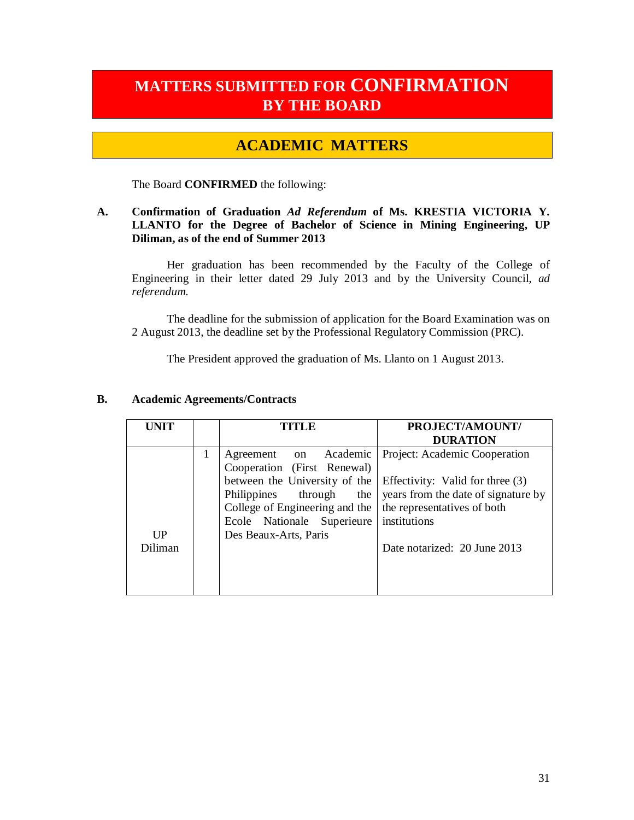# **MATTERS SUBMITTED FOR CONFIRMATION BY THE BOARD**

## **ACADEMIC MATTERS**

The Board **CONFIRMED** the following:

### **A. Confirmation of Graduation** *Ad Referendum* **of Ms. KRESTIA VICTORIA Y. LLANTO for the Degree of Bachelor of Science in Mining Engineering, UP Diliman, as of the end of Summer 2013**

Her graduation has been recommended by the Faculty of the College of Engineering in their letter dated 29 July 2013 and by the University Council, *ad referendum.*

The deadline for the submission of application for the Board Examination was on 2 August 2013, the deadline set by the Professional Regulatory Commission (PRC).

The President approved the graduation of Ms. Llanto on 1 August 2013.

| UNIT           |   | <b>TITLE</b>                                                                                  | PROJECT/AMOUNT/<br><b>DURATION</b>                                                                     |
|----------------|---|-----------------------------------------------------------------------------------------------|--------------------------------------------------------------------------------------------------------|
|                | 1 | Agreement on Academic<br>Cooperation (First Renewal)                                          | Project: Academic Cooperation                                                                          |
|                |   | between the University of the<br>Philippines through<br>the<br>College of Engineering and the | Effectivity: Valid for three (3)<br>years from the date of signature by<br>the representatives of both |
| $_{\rm IIP}$   |   | Ecole Nationale Superieure<br>Des Beaux-Arts, Paris                                           | institutions                                                                                           |
| <b>Diliman</b> |   |                                                                                               | Date notarized: 20 June 2013                                                                           |

### **B. Academic Agreements/Contracts**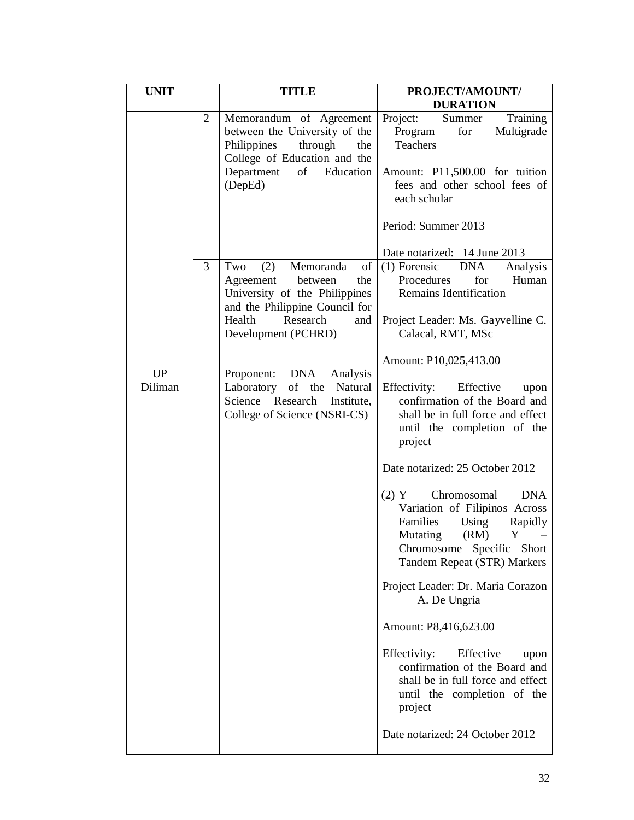| <b>UNIT</b>   |                | <b>TITLE</b>                                                                                                                                                                                                                                                                                                     | PROJECT/AMOUNT/<br><b>DURATION</b>                                                                                                                                                                                                                                                                                                                                                                                                                                                                                                                                                            |
|---------------|----------------|------------------------------------------------------------------------------------------------------------------------------------------------------------------------------------------------------------------------------------------------------------------------------------------------------------------|-----------------------------------------------------------------------------------------------------------------------------------------------------------------------------------------------------------------------------------------------------------------------------------------------------------------------------------------------------------------------------------------------------------------------------------------------------------------------------------------------------------------------------------------------------------------------------------------------|
|               | $\overline{2}$ | Memorandum of Agreement<br>between the University of the<br>Philippines<br>through<br>the<br>College of Education and the<br>Department<br>of<br>Education<br>(DepEd)                                                                                                                                            | Project:<br>Summer<br>Training<br>Multigrade<br>Program<br>for<br>Teachers<br>Amount: P11,500.00 for tuition<br>fees and other school fees of<br>each scholar<br>Period: Summer 2013                                                                                                                                                                                                                                                                                                                                                                                                          |
| UP<br>Diliman | 3              | of<br>(2)<br>Memoranda<br>Two<br>the<br>Agreement<br>between<br>University of the Philippines<br>and the Philippine Council for<br>Health<br>Research<br>and<br>Development (PCHRD)<br>Proponent: DNA Analysis<br>of the Natural<br>Laboratory<br>Science Research<br>Institute,<br>College of Science (NSRI-CS) | Date notarized: 14 June 2013<br>$(1)$ Forensic DNA<br>Analysis<br>Procedures<br>for<br>Human<br>Remains Identification<br>Project Leader: Ms. Gayvelline C.<br>Calacal, RMT, MSc<br>Amount: P10,025,413.00<br>Effectivity: Effective<br>upon<br>confirmation of the Board and<br>shall be in full force and effect<br>until the completion of the<br>project<br>Date notarized: 25 October 2012<br><b>DNA</b><br>$(2)$ Y<br>Chromosomal<br>Variation of Filipinos Across<br>Families<br>Using<br>Rapidly<br>Mutating<br>(RM)<br>Y<br>Chromosome Specific Short<br>Tandem Repeat (STR) Markers |
|               |                |                                                                                                                                                                                                                                                                                                                  | Project Leader: Dr. Maria Corazon<br>A. De Ungria<br>Amount: P8,416,623.00                                                                                                                                                                                                                                                                                                                                                                                                                                                                                                                    |
|               |                |                                                                                                                                                                                                                                                                                                                  | Effectivity:<br>Effective<br>upon<br>confirmation of the Board and<br>shall be in full force and effect<br>until the completion of the<br>project                                                                                                                                                                                                                                                                                                                                                                                                                                             |
|               |                |                                                                                                                                                                                                                                                                                                                  | Date notarized: 24 October 2012                                                                                                                                                                                                                                                                                                                                                                                                                                                                                                                                                               |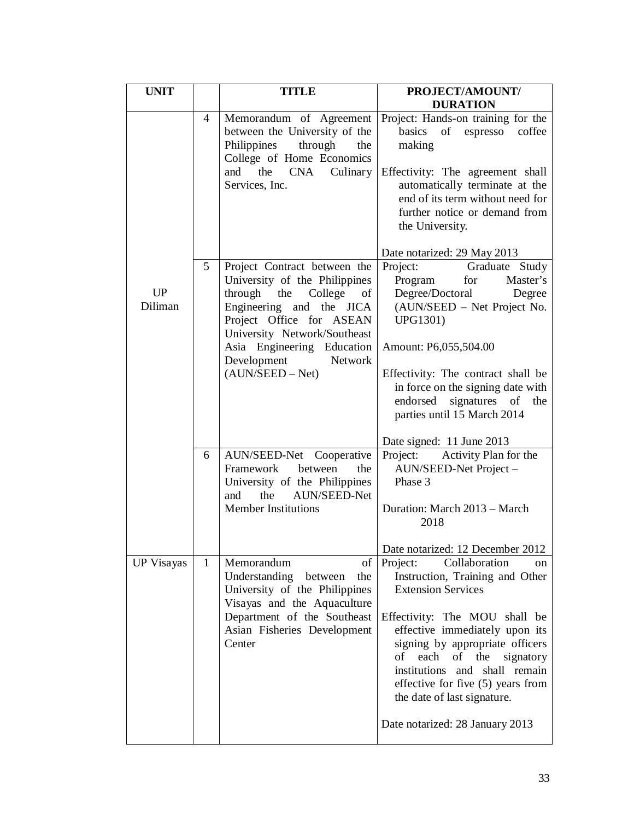| <b>UNIT</b>          |                | <b>TITLE</b>                                                                                                                                                                                                                                                  | PROJECT/AMOUNT/                                                                                                                                                                                                                                                                                                                                                                    |
|----------------------|----------------|---------------------------------------------------------------------------------------------------------------------------------------------------------------------------------------------------------------------------------------------------------------|------------------------------------------------------------------------------------------------------------------------------------------------------------------------------------------------------------------------------------------------------------------------------------------------------------------------------------------------------------------------------------|
|                      |                |                                                                                                                                                                                                                                                               | <b>DURATION</b>                                                                                                                                                                                                                                                                                                                                                                    |
|                      | $\overline{4}$ | Memorandum of Agreement<br>between the University of the<br>Philippines<br>the<br>through<br>College of Home Economics<br>the<br><b>CNA</b><br>Culinary<br>and<br>Services, Inc.                                                                              | Project: Hands-on training for the<br>basics of espresso coffee<br>making<br>Effectivity: The agreement shall<br>automatically terminate at the<br>end of its term without need for<br>further notice or demand from<br>the University.                                                                                                                                            |
|                      |                |                                                                                                                                                                                                                                                               | Date notarized: 29 May 2013                                                                                                                                                                                                                                                                                                                                                        |
| <b>UP</b><br>Diliman | 5              | Project Contract between the<br>University of the Philippines<br>through the College<br>of<br>Engineering and the JICA<br>Project Office for ASEAN<br>University Network/Southeast<br>Asia Engineering Education<br>Development Network<br>$(AUN/SEED - Net)$ | Project:<br>Graduate Study<br>Program<br>Master's<br>for<br>Degree/Doctoral<br>Degree<br>(AUN/SEED – Net Project No.<br><b>UPG1301)</b><br>Amount: P6,055,504.00<br>Effectivity: The contract shall be<br>in force on the signing date with<br>endorsed signatures of<br>the<br>parties until 15 March 2014                                                                        |
|                      |                |                                                                                                                                                                                                                                                               | Date signed: 11 June 2013                                                                                                                                                                                                                                                                                                                                                          |
|                      | 6              | AUN/SEED-Net Cooperative<br>Framework<br>between<br>the<br>University of the Philippines<br>the<br><b>AUN/SEED-Net</b><br>and<br><b>Member Institutions</b>                                                                                                   | Activity Plan for the<br>Project:<br>AUN/SEED-Net Project -<br>Phase 3<br>Duration: March 2013 - March<br>2018                                                                                                                                                                                                                                                                     |
|                      |                |                                                                                                                                                                                                                                                               | Date notarized: 12 December 2012                                                                                                                                                                                                                                                                                                                                                   |
| <b>UP Visayas</b>    | 1              | Memorandum<br>of<br>Understanding<br>between<br>the<br>University of the Philippines<br>Visayas and the Aquaculture<br>Department of the Southeast<br>Asian Fisheries Development<br>Center                                                                   | Project:<br>Collaboration<br>on<br>Instruction, Training and Other<br><b>Extension Services</b><br>Effectivity: The MOU shall be<br>effective immediately upon its<br>signing by appropriate officers<br>each<br>of the<br>οf<br>signatory<br>institutions and shall remain<br>effective for five (5) years from<br>the date of last signature.<br>Date notarized: 28 January 2013 |
|                      |                |                                                                                                                                                                                                                                                               |                                                                                                                                                                                                                                                                                                                                                                                    |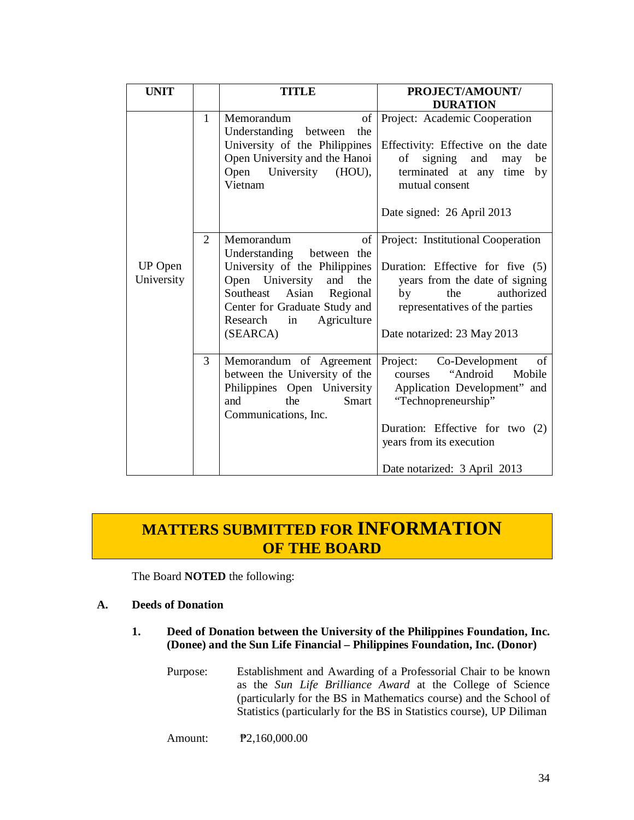| <b>UNIT</b>                  |                | <b>TITLE</b>                                                                                                                                                                                                                 | PROJECT/AMOUNT/<br><b>DURATION</b>                                                                                                                                                                                      |
|------------------------------|----------------|------------------------------------------------------------------------------------------------------------------------------------------------------------------------------------------------------------------------------|-------------------------------------------------------------------------------------------------------------------------------------------------------------------------------------------------------------------------|
|                              | 1              | of<br>Memorandum<br>Understanding between<br>the<br>University of the Philippines<br>Open University and the Hanoi<br>Open University<br>$(HOU)$ ,<br>Vietnam                                                                | Project: Academic Cooperation<br>Effectivity: Effective on the date<br>signing<br>and<br>οf<br>be<br>may<br>terminated at any time<br>by<br>mutual consent<br>Date signed: 26 April 2013                                |
| <b>UP</b> Open<br>University | $\overline{2}$ | of<br>Memorandum<br>Understanding between the<br>University of the Philippines<br>Open University and<br>the<br>Southeast<br>Asian<br>Regional<br>Center for Graduate Study and<br>Research<br>Agriculture<br>in<br>(SEARCA) | Project: Institutional Cooperation<br>Duration: Effective for five (5)<br>years from the date of signing<br>authorized<br>the<br>by<br>representatives of the parties<br>Date notarized: 23 May 2013                    |
|                              | 3              | Memorandum of Agreement<br>between the University of the<br>Philippines Open University<br>the<br><b>Smart</b><br>and<br>Communications, Inc.                                                                                | of<br>Project:<br>Co-Development<br>"Android<br>Mobile<br>courses<br>Application Development" and<br>"Technopreneurship"<br>Duration: Effective for two (2)<br>years from its execution<br>Date notarized: 3 April 2013 |

# **MATTERS SUBMITTED FOR INFORMATION OF THE BOARD**

The Board **NOTED** the following:

### **A. Deeds of Donation**

- **1. Deed of Donation between the University of the Philippines Foundation, Inc. (Donee) and the Sun Life Financial – Philippines Foundation, Inc. (Donor)** 
	- Purpose: Establishment and Awarding of a Professorial Chair to be known as the *Sun Life Brilliance Award* at the College of Science (particularly for the BS in Mathematics course) and the School of Statistics (particularly for the BS in Statistics course), UP Diliman

Amount: **P2**,160,000.00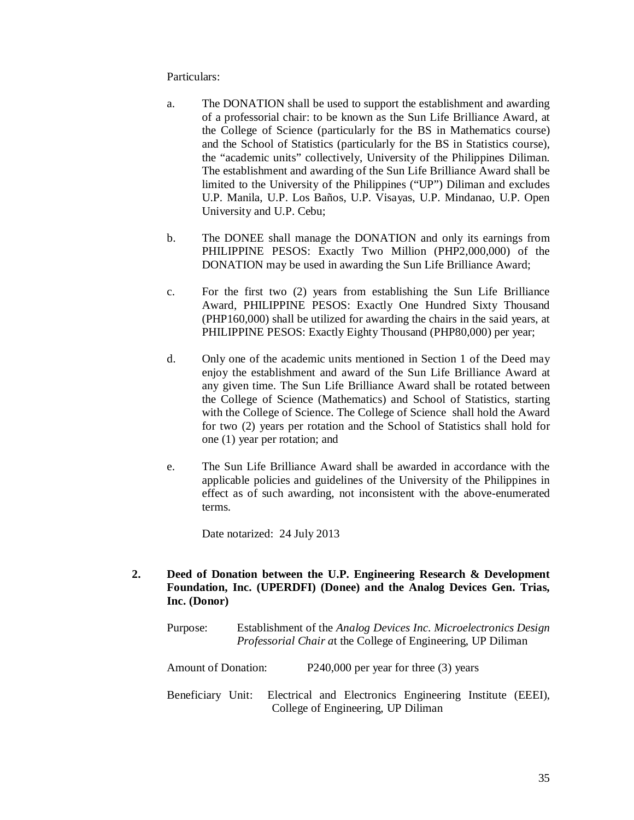### Particulars:

- a. The DONATION shall be used to support the establishment and awarding of a professorial chair: to be known as the Sun Life Brilliance Award, at the College of Science (particularly for the BS in Mathematics course) and the School of Statistics (particularly for the BS in Statistics course), the "academic units" collectively, University of the Philippines Diliman. The establishment and awarding of the Sun Life Brilliance Award shall be limited to the University of the Philippines ("UP") Diliman and excludes U.P. Manila, U.P. Los Baños, U.P. Visayas, U.P. Mindanao, U.P. Open University and U.P. Cebu;
- b. The DONEE shall manage the DONATION and only its earnings from PHILIPPINE PESOS: Exactly Two Million (PHP2,000,000) of the DONATION may be used in awarding the Sun Life Brilliance Award;
- c. For the first two (2) years from establishing the Sun Life Brilliance Award, PHILIPPINE PESOS: Exactly One Hundred Sixty Thousand (PHP160,000) shall be utilized for awarding the chairs in the said years, at PHILIPPINE PESOS: Exactly Eighty Thousand (PHP80,000) per year;
- d. Only one of the academic units mentioned in Section 1 of the Deed may enjoy the establishment and award of the Sun Life Brilliance Award at any given time. The Sun Life Brilliance Award shall be rotated between the College of Science (Mathematics) and School of Statistics, starting with the College of Science. The College of Science shall hold the Award for two (2) years per rotation and the School of Statistics shall hold for one (1) year per rotation; and
- e. The Sun Life Brilliance Award shall be awarded in accordance with the applicable policies and guidelines of the University of the Philippines in effect as of such awarding, not inconsistent with the above-enumerated terms.

Date notarized: 24 July 2013

- **2. Deed of Donation between the U.P. Engineering Research & Development Foundation, Inc. (UPERDFI) (Donee) and the Analog Devices Gen. Trias, Inc. (Donor)** 
	- Purpose: Establishment of the *Analog Devices Inc. Microelectronics Design Professorial Chair a*t the College of Engineering, UP Diliman

Amount of Donation: P240,000 per year for three (3) years

Beneficiary Unit: Electrical and Electronics Engineering Institute (EEEI), College of Engineering, UP Diliman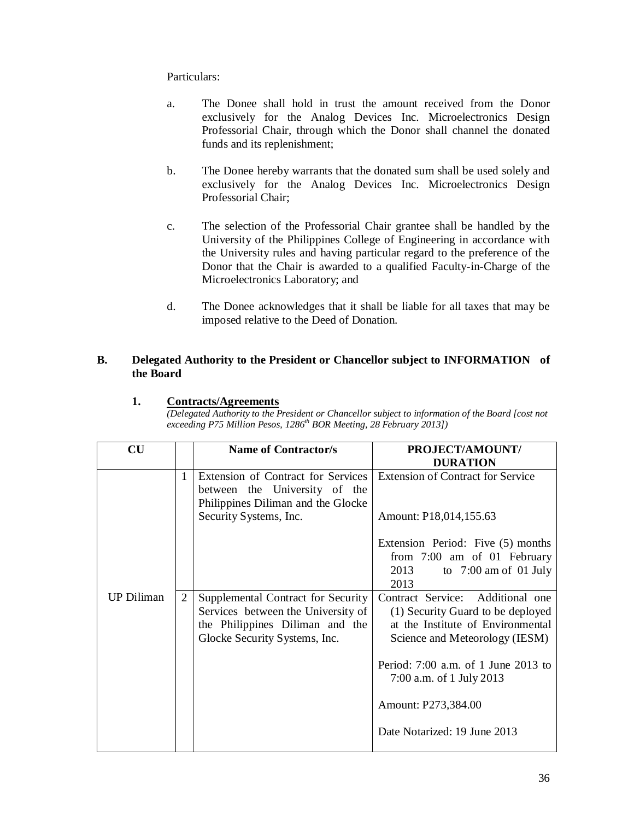Particulars:

- a. The Donee shall hold in trust the amount received from the Donor exclusively for the Analog Devices Inc. Microelectronics Design Professorial Chair, through which the Donor shall channel the donated funds and its replenishment;
- b. The Donee hereby warrants that the donated sum shall be used solely and exclusively for the Analog Devices Inc. Microelectronics Design Professorial Chair;
- c. The selection of the Professorial Chair grantee shall be handled by the University of the Philippines College of Engineering in accordance with the University rules and having particular regard to the preference of the Donor that the Chair is awarded to a qualified Faculty-in-Charge of the Microelectronics Laboratory; and
- d. The Donee acknowledges that it shall be liable for all taxes that may be imposed relative to the Deed of Donation.

### **B. Delegated Authority to the President or Chancellor subject to INFORMATION of the Board**

### **1. Contracts/Agreements**

*(Delegated Authority to the President or Chancellor subject to information of the Board [cost not exceeding P75 Million Pesos, 1286th BOR Meeting, 28 February 2013])*

| $\overline{\text{CU}}$ |                | <b>Name of Contractor/s</b>                                                                               | PROJECT/AMOUNT/                          |
|------------------------|----------------|-----------------------------------------------------------------------------------------------------------|------------------------------------------|
|                        |                |                                                                                                           | <b>DURATION</b>                          |
|                        | $\mathbf{1}$   | Extension of Contract for Services<br>between the University of the<br>Philippines Diliman and the Glocke | <b>Extension of Contract for Service</b> |
|                        |                | Security Systems, Inc.                                                                                    | Amount: P18,014,155.63                   |
|                        |                |                                                                                                           | Extension Period: Five (5) months        |
|                        |                |                                                                                                           | from 7:00 am of 01 February              |
|                        |                |                                                                                                           | 2013<br>to $7:00$ am of 01 July          |
|                        |                |                                                                                                           | 2013                                     |
| <b>UP Diliman</b>      | $\overline{2}$ | Supplemental Contract for Security                                                                        | Contract Service: Additional one         |
|                        |                | Services between the University of                                                                        | (1) Security Guard to be deployed        |
|                        |                | the Philippines Diliman and the                                                                           | at the Institute of Environmental        |
|                        |                | Glocke Security Systems, Inc.                                                                             | Science and Meteorology (IESM)           |
|                        |                |                                                                                                           | Period: 7:00 a.m. of 1 June 2013 to      |
|                        |                |                                                                                                           | 7:00 a.m. of 1 July 2013                 |
|                        |                |                                                                                                           | Amount: P273,384.00                      |
|                        |                |                                                                                                           | Date Notarized: 19 June 2013             |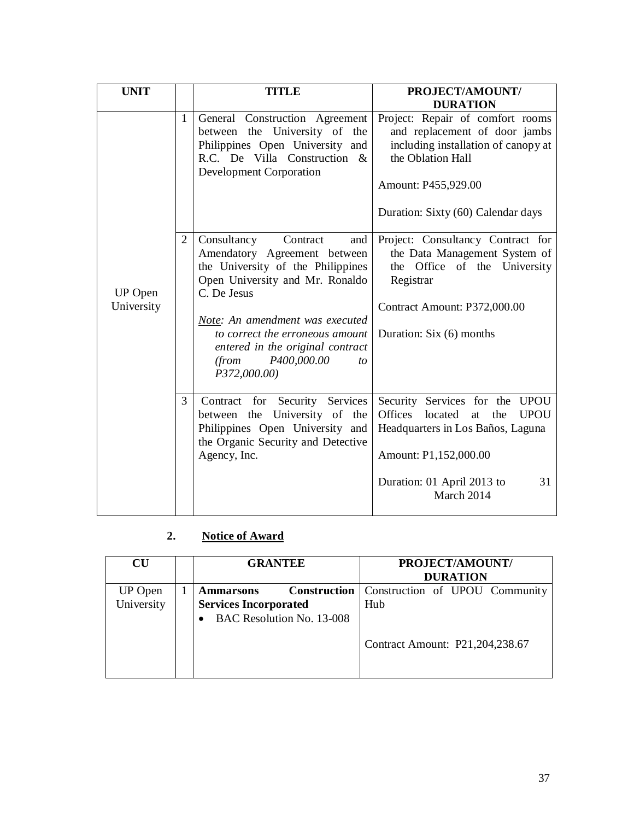| <b>UNIT</b>           |              | <b>TITLE</b>                                                                                                                                                                                                                                                                                                   | PROJECT/AMOUNT/<br><b>DURATION</b>                                                                                                                                                                      |
|-----------------------|--------------|----------------------------------------------------------------------------------------------------------------------------------------------------------------------------------------------------------------------------------------------------------------------------------------------------------------|---------------------------------------------------------------------------------------------------------------------------------------------------------------------------------------------------------|
|                       | $\mathbf{1}$ | General Construction Agreement<br>between the University of the<br>Philippines Open University and<br>R.C. De Villa Construction &<br><b>Development Corporation</b>                                                                                                                                           | Project: Repair of comfort rooms<br>and replacement of door jambs<br>including installation of canopy at<br>the Oblation Hall<br>Amount: P455,929.00<br>Duration: Sixty (60) Calendar days              |
| UP Open<br>University | 2            | Consultancy<br>Contract<br>and<br>Amendatory Agreement between<br>the University of the Philippines<br>Open University and Mr. Ronaldo<br>C. De Jesus<br>Note: An amendment was executed<br>to correct the erroneous amount<br>entered in the original contract<br>(from)<br>P400,000.00<br>to<br>P372,000.00) | Project: Consultancy Contract for<br>the Data Management System of<br>Office of the University<br>the<br>Registrar<br>Contract Amount: P372,000.00<br>Duration: Six (6) months                          |
|                       | 3            | Contract for Security Services<br>between the University of the<br>Philippines Open University and<br>the Organic Security and Detective<br>Agency, Inc.                                                                                                                                                       | Security Services for the UPOU<br><b>Offices</b><br><b>UPOU</b><br>located<br>the<br>at<br>Headquarters in Los Baños, Laguna<br>Amount: P1,152,000.00<br>Duration: 01 April 2013 to<br>31<br>March 2014 |

## **2. Notice of Award**

| <b>CU</b>                    | <b>GRANTEE</b>                                                                                       | PROJECT/AMOUNT/<br><b>DURATION</b>    |
|------------------------------|------------------------------------------------------------------------------------------------------|---------------------------------------|
| <b>UP</b> Open<br>University | <b>Construction</b><br><b>Ammarsons</b><br><b>Services Incorporated</b><br>BAC Resolution No. 13-008 | Construction of UPOU Community<br>Hub |
|                              |                                                                                                      | Contract Amount: P21,204,238.67       |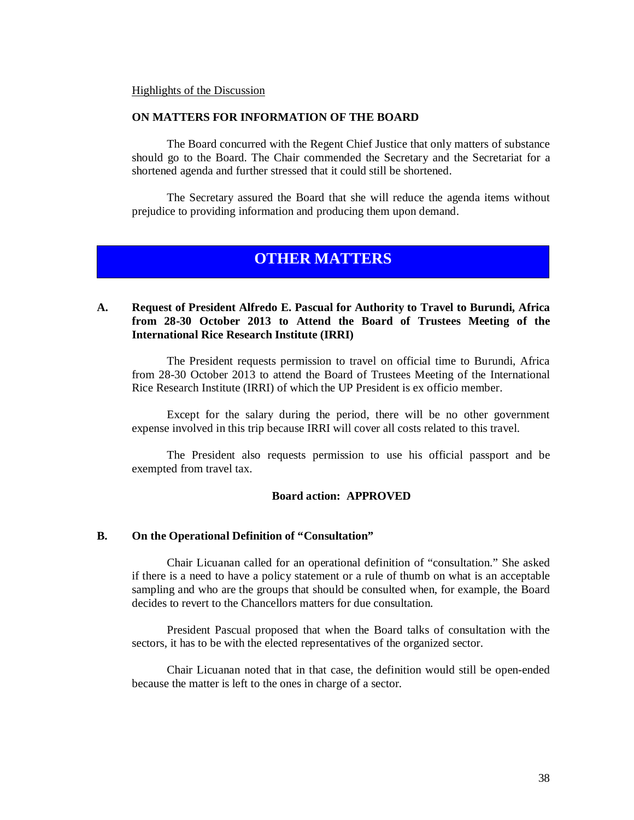#### Highlights of the Discussion

### **ON MATTERS FOR INFORMATION OF THE BOARD**

The Board concurred with the Regent Chief Justice that only matters of substance should go to the Board. The Chair commended the Secretary and the Secretariat for a shortened agenda and further stressed that it could still be shortened.

The Secretary assured the Board that she will reduce the agenda items without prejudice to providing information and producing them upon demand.

## **OTHER MATTERS**

### **A. Request of President Alfredo E. Pascual for Authority to Travel to Burundi, Africa from 28-30 October 2013 to Attend the Board of Trustees Meeting of the International Rice Research Institute (IRRI)**

The President requests permission to travel on official time to Burundi, Africa from 28-30 October 2013 to attend the Board of Trustees Meeting of the International Rice Research Institute (IRRI) of which the UP President is ex officio member.

Except for the salary during the period, there will be no other government expense involved in this trip because IRRI will cover all costs related to this travel.

The President also requests permission to use his official passport and be exempted from travel tax.

### **Board action: APPROVED**

### **B. On the Operational Definition of "Consultation"**

Chair Licuanan called for an operational definition of "consultation." She asked if there is a need to have a policy statement or a rule of thumb on what is an acceptable sampling and who are the groups that should be consulted when, for example, the Board decides to revert to the Chancellors matters for due consultation.

President Pascual proposed that when the Board talks of consultation with the sectors, it has to be with the elected representatives of the organized sector.

Chair Licuanan noted that in that case, the definition would still be open-ended because the matter is left to the ones in charge of a sector.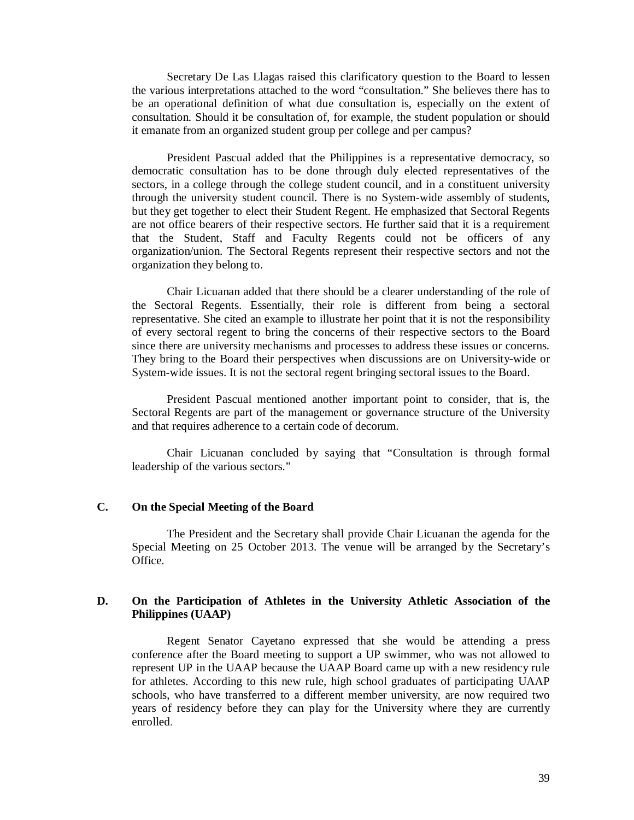Secretary De Las Llagas raised this clarificatory question to the Board to lessen the various interpretations attached to the word "consultation." She believes there has to be an operational definition of what due consultation is, especially on the extent of consultation. Should it be consultation of, for example, the student population or should it emanate from an organized student group per college and per campus?

President Pascual added that the Philippines is a representative democracy, so democratic consultation has to be done through duly elected representatives of the sectors, in a college through the college student council, and in a constituent university through the university student council. There is no System-wide assembly of students, but they get together to elect their Student Regent. He emphasized that Sectoral Regents are not office bearers of their respective sectors. He further said that it is a requirement that the Student, Staff and Faculty Regents could not be officers of any organization/union. The Sectoral Regents represent their respective sectors and not the organization they belong to.

Chair Licuanan added that there should be a clearer understanding of the role of the Sectoral Regents. Essentially, their role is different from being a sectoral representative. She cited an example to illustrate her point that it is not the responsibility of every sectoral regent to bring the concerns of their respective sectors to the Board since there are university mechanisms and processes to address these issues or concerns. They bring to the Board their perspectives when discussions are on University-wide or System-wide issues. It is not the sectoral regent bringing sectoral issues to the Board.

President Pascual mentioned another important point to consider, that is, the Sectoral Regents are part of the management or governance structure of the University and that requires adherence to a certain code of decorum.

Chair Licuanan concluded by saying that "Consultation is through formal leadership of the various sectors."

### **C. On the Special Meeting of the Board**

The President and the Secretary shall provide Chair Licuanan the agenda for the Special Meeting on 25 October 2013. The venue will be arranged by the Secretary's Office.

### **D. On the Participation of Athletes in the University Athletic Association of the Philippines (UAAP)**

Regent Senator Cayetano expressed that she would be attending a press conference after the Board meeting to support a UP swimmer, who was not allowed to represent UP in the UAAP because the UAAP Board came up with a new residency rule for athletes. According to this new rule, high school graduates of participating UAAP schools, who have transferred to a different member university, are now required two years of residency before they can play for the University where they are currently enrolled.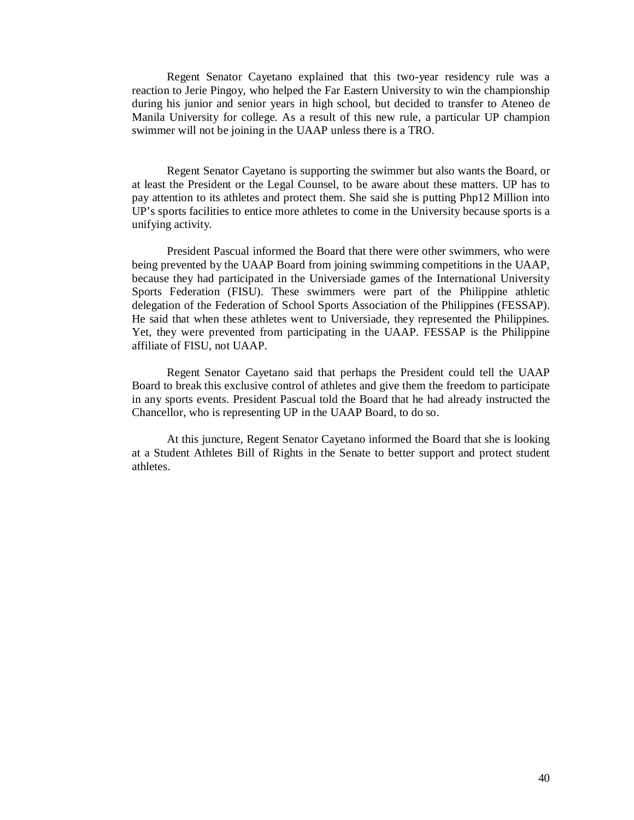Regent Senator Cayetano explained that this two-year residency rule was a reaction to Jerie Pingoy, who helped the Far Eastern University to win the championship during his junior and senior years in high school, but decided to transfer to Ateneo de Manila University for college. As a result of this new rule, a particular UP champion swimmer will not be joining in the UAAP unless there is a TRO.

Regent Senator Cayetano is supporting the swimmer but also wants the Board, or at least the President or the Legal Counsel, to be aware about these matters. UP has to pay attention to its athletes and protect them. She said she is putting Php12 Million into UP's sports facilities to entice more athletes to come in the University because sports is a unifying activity.

President Pascual informed the Board that there were other swimmers, who were being prevented by the UAAP Board from joining swimming competitions in the UAAP, because they had participated in the Universiade games of the International University Sports Federation (FISU). These swimmers were part of the Philippine athletic delegation of the Federation of School Sports Association of the Philippines (FESSAP). He said that when these athletes went to Universiade, they represented the Philippines. Yet, they were prevented from participating in the UAAP. FESSAP is the Philippine affiliate of FISU, not UAAP.

Regent Senator Cayetano said that perhaps the President could tell the UAAP Board to break this exclusive control of athletes and give them the freedom to participate in any sports events. President Pascual told the Board that he had already instructed the Chancellor, who is representing UP in the UAAP Board, to do so.

At this juncture, Regent Senator Cayetano informed the Board that she is looking at a Student Athletes Bill of Rights in the Senate to better support and protect student athletes.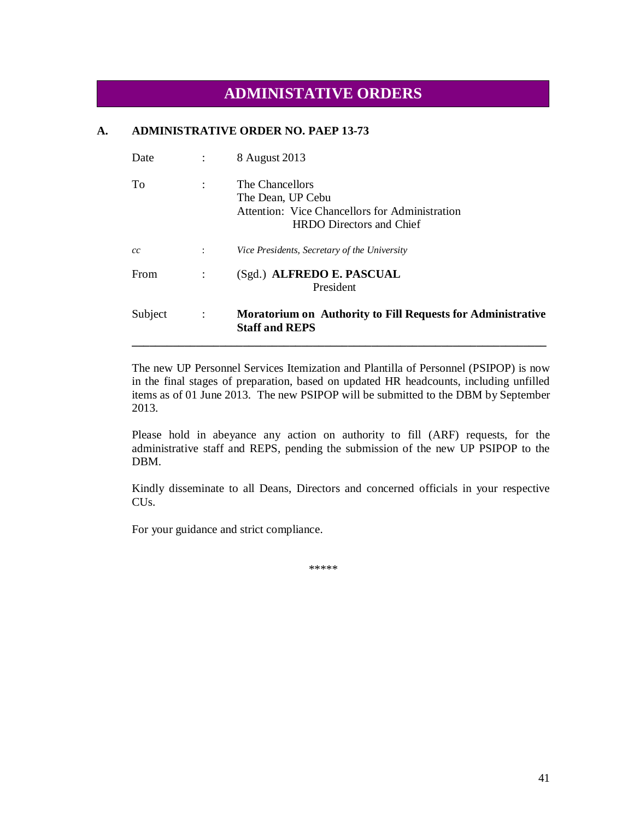## **ADMINISTATIVE ORDERS**

### **A. ADMINISTRATIVE ORDER NO. PAEP 13-73**

| Date    |                      | 8 August 2013                                                                                                             |
|---------|----------------------|---------------------------------------------------------------------------------------------------------------------------|
| To      | $\ddot{\cdot}$       | The Chancellors<br>The Dean, UP Cebu<br>Attention: Vice Chancellors for Administration<br><b>HRDO</b> Directors and Chief |
| cc      | $\ddot{\phantom{a}}$ | Vice Presidents, Secretary of the University                                                                              |
| From    |                      | (Sgd.) ALFREDO E. PASCUAL<br>President                                                                                    |
| Subject | $\ddot{\cdot}$       | <b>Moratorium on Authority to Fill Requests for Administrative</b><br><b>Staff and REPS</b>                               |

The new UP Personnel Services Itemization and Plantilla of Personnel (PSIPOP) is now in the final stages of preparation, based on updated HR headcounts, including unfilled items as of 01 June 2013. The new PSIPOP will be submitted to the DBM by September 2013.

Please hold in abeyance any action on authority to fill (ARF) requests, for the administrative staff and REPS, pending the submission of the new UP PSIPOP to the DBM.

Kindly disseminate to all Deans, Directors and concerned officials in your respective CUs.

For your guidance and strict compliance.

\*\*\*\*\*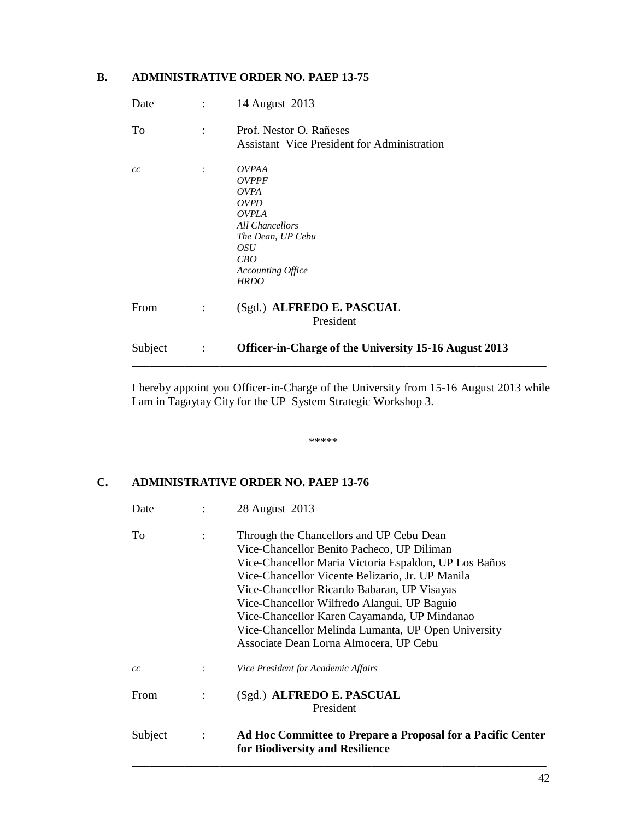### **B. ADMINISTRATIVE ORDER NO. PAEP 13-75**

| Subject | $\ddot{\cdot}$       | Officer-in-Charge of the University 15-16 August 2013                                                                                                                                     |
|---------|----------------------|-------------------------------------------------------------------------------------------------------------------------------------------------------------------------------------------|
| From    | $\ddot{\cdot}$       | (Sgd.) ALFREDO E. PASCUAL<br>President                                                                                                                                                    |
| cc      | $\ddot{\phantom{a}}$ | <b>OVPAA</b><br><b>OVPPF</b><br><b>OVPA</b><br><i>OVPD</i><br><i><b>OVPLA</b></i><br><b>All Chancellors</b><br>The Dean, UP Cebu<br><i>OSU</i><br>CBO<br>Accounting Office<br><b>HRDO</b> |
| To      | $\ddot{\cdot}$       | Prof. Nestor O. Rañeses<br><b>Assistant Vice President for Administration</b>                                                                                                             |
| Date    | ÷                    | 14 August 2013                                                                                                                                                                            |

I hereby appoint you Officer-in-Charge of the University from 15-16 August 2013 while I am in Tagaytay City for the UP System Strategic Workshop 3.

\*\*\*\*\*

### **C. ADMINISTRATIVE ORDER NO. PAEP 13-76**

| Date        |                | 28 August 2013                                                                                                                                                                                                                                                                                                                                                                                                                                     |
|-------------|----------------|----------------------------------------------------------------------------------------------------------------------------------------------------------------------------------------------------------------------------------------------------------------------------------------------------------------------------------------------------------------------------------------------------------------------------------------------------|
| To          |                | Through the Chancellors and UP Cebu Dean<br>Vice-Chancellor Benito Pacheco, UP Diliman<br>Vice-Chancellor Maria Victoria Espaldon, UP Los Baños<br>Vice-Chancellor Vicente Belizario, Jr. UP Manila<br>Vice-Chancellor Ricardo Babaran, UP Visayas<br>Vice-Chancellor Wilfredo Alangui, UP Baguio<br>Vice-Chancellor Karen Cayamanda, UP Mindanao<br>Vice-Chancellor Melinda Lumanta, UP Open University<br>Associate Dean Lorna Almocera, UP Cebu |
| cc          |                | Vice President for Academic Affairs                                                                                                                                                                                                                                                                                                                                                                                                                |
| <b>From</b> |                | (Sgd.) ALFREDO E. PASCUAL<br>President                                                                                                                                                                                                                                                                                                                                                                                                             |
| Subject     | $\ddot{\cdot}$ | Ad Hoc Committee to Prepare a Proposal for a Pacific Center<br>for Biodiversity and Resilience                                                                                                                                                                                                                                                                                                                                                     |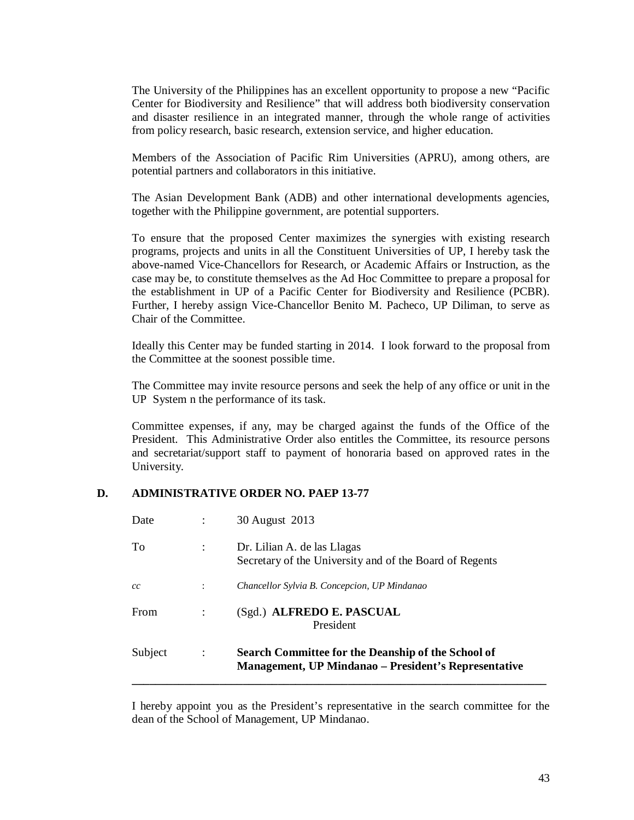The University of the Philippines has an excellent opportunity to propose a new "Pacific Center for Biodiversity and Resilience" that will address both biodiversity conservation and disaster resilience in an integrated manner, through the whole range of activities from policy research, basic research, extension service, and higher education.

Members of the Association of Pacific Rim Universities (APRU), among others, are potential partners and collaborators in this initiative.

The Asian Development Bank (ADB) and other international developments agencies, together with the Philippine government, are potential supporters.

To ensure that the proposed Center maximizes the synergies with existing research programs, projects and units in all the Constituent Universities of UP, I hereby task the above-named Vice-Chancellors for Research, or Academic Affairs or Instruction, as the case may be, to constitute themselves as the Ad Hoc Committee to prepare a proposal for the establishment in UP of a Pacific Center for Biodiversity and Resilience (PCBR). Further, I hereby assign Vice-Chancellor Benito M. Pacheco, UP Diliman, to serve as Chair of the Committee.

Ideally this Center may be funded starting in 2014. I look forward to the proposal from the Committee at the soonest possible time.

The Committee may invite resource persons and seek the help of any office or unit in the UP System n the performance of its task.

Committee expenses, if any, may be charged against the funds of the Office of the President. This Administrative Order also entitles the Committee, its resource persons and secretariat/support staff to payment of honoraria based on approved rates in the University.

### **D. ADMINISTRATIVE ORDER NO. PAEP 13-77**

| Subject | $\ddot{\cdot}$ | Search Committee for the Deanship of the School of<br><b>Management, UP Mindanao</b> – President's Representative |
|---------|----------------|-------------------------------------------------------------------------------------------------------------------|
| From    |                | (Sgd.) ALFREDO E. PASCUAL<br>President                                                                            |
| cc      |                | Chancellor Sylvia B. Concepcion, UP Mindanao                                                                      |
| To      | $\ddot{\cdot}$ | Dr. Lilian A. de las Llagas<br>Secretary of the University and of the Board of Regents                            |
| Date    |                | 30 August 2013                                                                                                    |

I hereby appoint you as the President's representative in the search committee for the dean of the School of Management, UP Mindanao.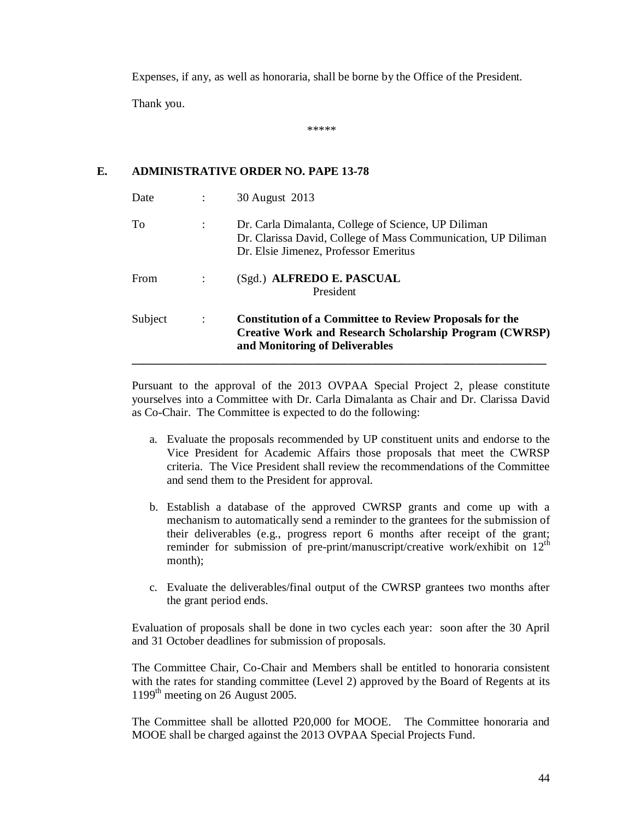Expenses, if any, as well as honoraria, shall be borne by the Office of the President.

Thank you.

\*\*\*\*\*

### **E. ADMINISTRATIVE ORDER NO. PAPE 13-78**

| Date    |                      | 30 August 2013                                                                                                                                                |
|---------|----------------------|---------------------------------------------------------------------------------------------------------------------------------------------------------------|
| To      | $\ddot{\cdot}$       | Dr. Carla Dimalanta, College of Science, UP Diliman<br>Dr. Clarissa David, College of Mass Communication, UP Diliman<br>Dr. Elsie Jimenez, Professor Emeritus |
| From    |                      | (Sgd.) ALFREDO E. PASCUAL<br>President                                                                                                                        |
| Subject | $\ddot{\phantom{a}}$ | <b>Constitution of a Committee to Review Proposals for the</b><br>Creative Work and Research Scholarship Program (CWRSP)<br>and Monitoring of Deliverables    |

Pursuant to the approval of the 2013 OVPAA Special Project 2, please constitute yourselves into a Committee with Dr. Carla Dimalanta as Chair and Dr. Clarissa David as Co-Chair. The Committee is expected to do the following:

- a. Evaluate the proposals recommended by UP constituent units and endorse to the Vice President for Academic Affairs those proposals that meet the CWRSP criteria. The Vice President shall review the recommendations of the Committee and send them to the President for approval.
- b. Establish a database of the approved CWRSP grants and come up with a mechanism to automatically send a reminder to the grantees for the submission of their deliverables (e.g., progress report 6 months after receipt of the grant; reminder for submission of pre-print/manuscript/creative work/exhibit on  $12<sup>th</sup>$ month);
- c. Evaluate the deliverables/final output of the CWRSP grantees two months after the grant period ends.

Evaluation of proposals shall be done in two cycles each year: soon after the 30 April and 31 October deadlines for submission of proposals.

The Committee Chair, Co-Chair and Members shall be entitled to honoraria consistent with the rates for standing committee (Level 2) approved by the Board of Regents at its 1199<sup>th</sup> meeting on 26 August 2005.

The Committee shall be allotted P20,000 for MOOE. The Committee honoraria and MOOE shall be charged against the 2013 OVPAA Special Projects Fund.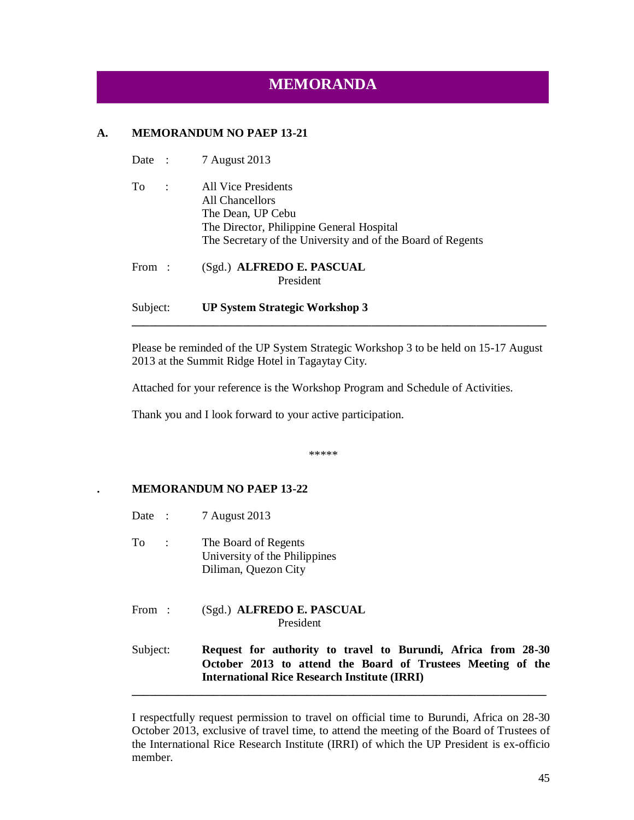# **MEMORANDA**

### **A. MEMORANDUM NO PAEP 13-21**

- Date : 7 August 2013
- To : All Vice Presidents All Chancellors The Dean, UP Cebu The Director, Philippine General Hospital The Secretary of the University and of the Board of Regents

From : (Sgd.) **ALFREDO E. PASCUAL** President

### Subject: **UP System Strategic Workshop 3**

Please be reminded of the UP System Strategic Workshop 3 to be held on 15-17 August 2013 at the Summit Ridge Hotel in Tagaytay City.

**\_\_\_\_\_\_\_\_\_\_\_\_\_\_\_\_\_\_\_\_\_\_\_\_\_\_\_\_\_\_\_\_\_\_\_\_\_\_\_\_\_\_\_\_\_\_\_\_\_\_\_\_\_\_\_\_\_\_\_\_\_\_\_\_\_\_\_\_\_\_\_**

Attached for your reference is the Workshop Program and Schedule of Activities.

Thank you and I look forward to your active participation.

\*\*\*\*\*

### **. MEMORANDUM NO PAEP 13-22**

- Date : 7 August 2013
- To : The Board of Regents University of the Philippines Diliman, Quezon City
- From : (Sgd.) **ALFREDO E. PASCUAL** President

Subject: **Request for authority to travel to Burundi, Africa from 28-30 October 2013 to attend the Board of Trustees Meeting of the International Rice Research Institute (IRRI)**

**\_\_\_\_\_\_\_\_\_\_\_\_\_\_\_\_\_\_\_\_\_\_\_\_\_\_\_\_\_\_\_\_\_\_\_\_\_\_\_\_\_\_\_\_\_\_\_\_\_\_\_\_\_\_\_\_\_\_\_\_\_\_\_\_\_\_\_\_\_\_\_**

I respectfully request permission to travel on official time to Burundi, Africa on 28-30 October 2013, exclusive of travel time, to attend the meeting of the Board of Trustees of the International Rice Research Institute (IRRI) of which the UP President is ex-officio member.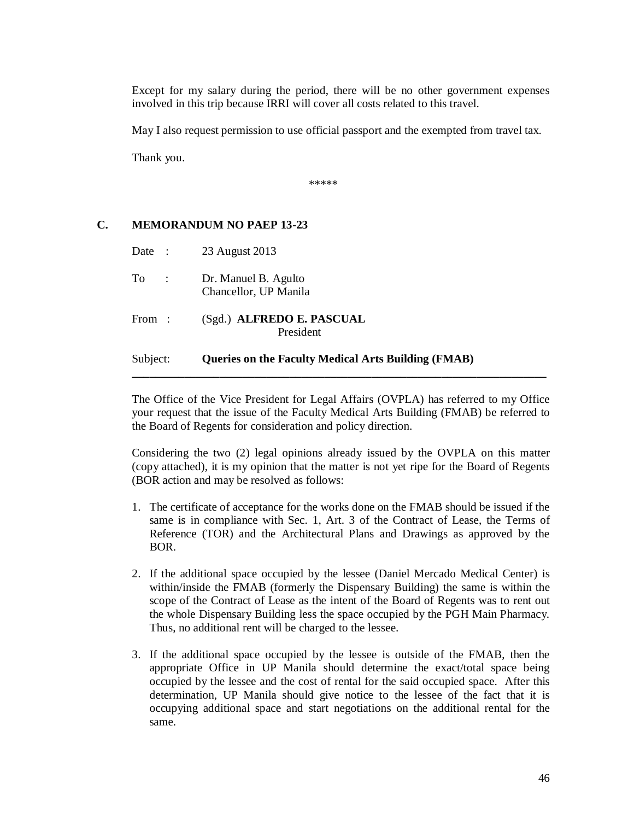Except for my salary during the period, there will be no other government expenses involved in this trip because IRRI will cover all costs related to this travel.

May I also request permission to use official passport and the exempted from travel tax.

Thank you.

\*\*\*\*\*

### **C. MEMORANDUM NO PAEP 13-23**

| Subject: |                          | <b>Queries on the Faculty Medical Arts Building (FMAB)</b> |
|----------|--------------------------|------------------------------------------------------------|
| From:    |                          | (Sgd.) ALFREDO E. PASCUAL<br>President                     |
| To       | $\sim 1000$ km s $^{-1}$ | Dr. Manuel B. Agulto<br>Chancellor, UP Manila              |
|          |                          | Date: 23 August 2013                                       |

The Office of the Vice President for Legal Affairs (OVPLA) has referred to my Office your request that the issue of the Faculty Medical Arts Building (FMAB) be referred to the Board of Regents for consideration and policy direction.

**\_\_\_\_\_\_\_\_\_\_\_\_\_\_\_\_\_\_\_\_\_\_\_\_\_\_\_\_\_\_\_\_\_\_\_\_\_\_\_\_\_\_\_\_\_\_\_\_\_\_\_\_\_\_\_\_\_\_\_\_\_\_\_\_\_\_\_\_\_\_\_**

Considering the two (2) legal opinions already issued by the OVPLA on this matter (copy attached), it is my opinion that the matter is not yet ripe for the Board of Regents (BOR action and may be resolved as follows:

- 1. The certificate of acceptance for the works done on the FMAB should be issued if the same is in compliance with Sec. 1, Art. 3 of the Contract of Lease, the Terms of Reference (TOR) and the Architectural Plans and Drawings as approved by the BOR.
- 2. If the additional space occupied by the lessee (Daniel Mercado Medical Center) is within/inside the FMAB (formerly the Dispensary Building) the same is within the scope of the Contract of Lease as the intent of the Board of Regents was to rent out the whole Dispensary Building less the space occupied by the PGH Main Pharmacy. Thus, no additional rent will be charged to the lessee.
- 3. If the additional space occupied by the lessee is outside of the FMAB, then the appropriate Office in UP Manila should determine the exact/total space being occupied by the lessee and the cost of rental for the said occupied space. After this determination, UP Manila should give notice to the lessee of the fact that it is occupying additional space and start negotiations on the additional rental for the same.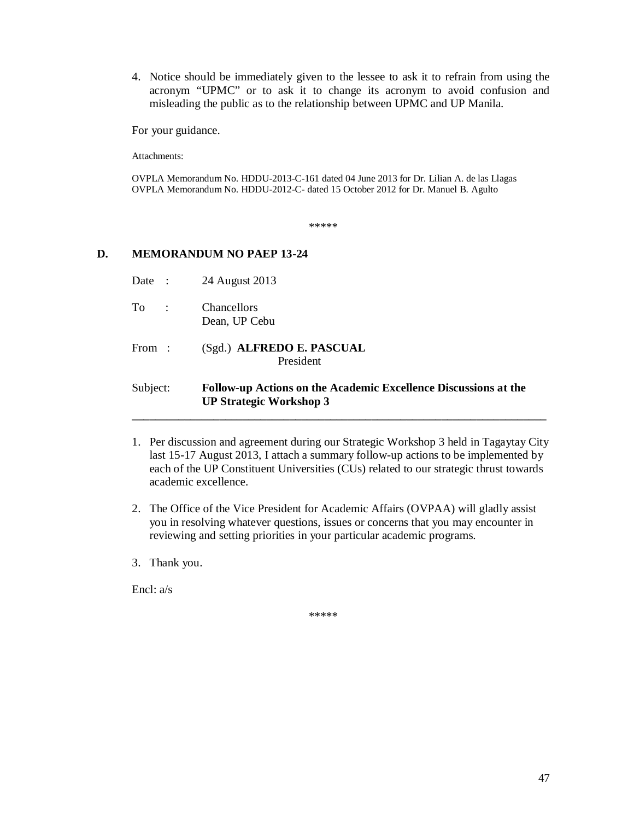4. Notice should be immediately given to the lessee to ask it to refrain from using the acronym "UPMC" or to ask it to change its acronym to avoid confusion and misleading the public as to the relationship between UPMC and UP Manila.

For your guidance.

Attachments:

OVPLA Memorandum No. HDDU-2013-C-161 dated 04 June 2013 for Dr. Lilian A. de las Llagas OVPLA Memorandum No. HDDU-2012-C- dated 15 October 2012 for Dr. Manuel B. Agulto

\*\*\*\*\*

### **D. MEMORANDUM NO PAEP 13-24**

- Date : 24 August 2013
- To : Chancellors Dean, UP Cebu
- From : (Sgd.) **ALFREDO E. PASCUAL** President

### Subject: **Follow-up Actions on the Academic Excellence Discussions at the UP Strategic Workshop 3**

1. Per discussion and agreement during our Strategic Workshop 3 held in Tagaytay City last 15-17 August 2013, I attach a summary follow-up actions to be implemented by each of the UP Constituent Universities (CUs) related to our strategic thrust towards academic excellence.

**\_\_\_\_\_\_\_\_\_\_\_\_\_\_\_\_\_\_\_\_\_\_\_\_\_\_\_\_\_\_\_\_\_\_\_\_\_\_\_\_\_\_\_\_\_\_\_\_\_\_\_\_\_\_\_\_\_\_\_\_\_\_\_\_\_\_\_\_\_\_\_**

- 2. The Office of the Vice President for Academic Affairs (OVPAA) will gladly assist you in resolving whatever questions, issues or concerns that you may encounter in reviewing and setting priorities in your particular academic programs.
- 3. Thank you.

Encl: a/s

\*\*\*\*\*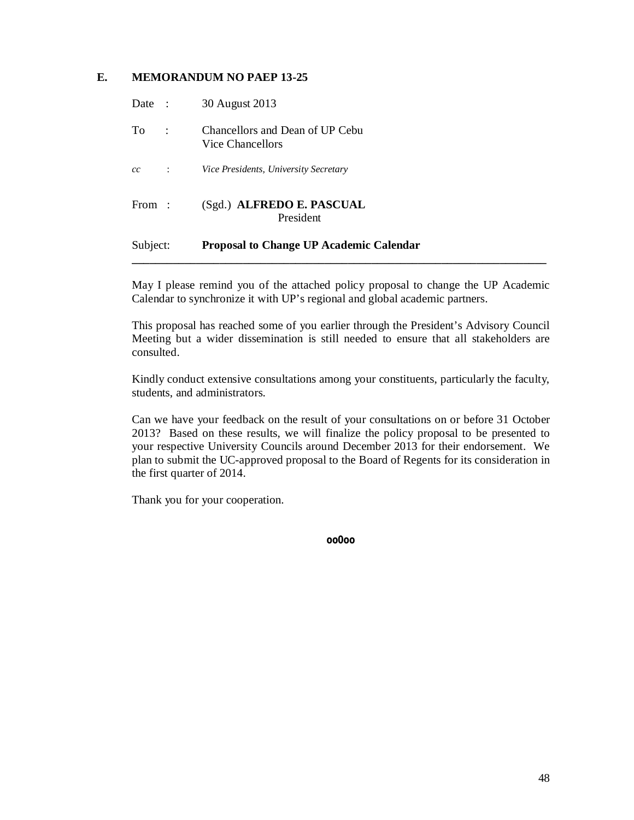### **E. MEMORANDUM NO PAEP 13-25**

| Subject: |                      | <b>Proposal to Change UP Academic Calendar</b>      |  |
|----------|----------------------|-----------------------------------------------------|--|
| From:    |                      | (Sgd.) ALFREDO E. PASCUAL<br>President              |  |
| cc       | $\ddot{\phantom{a}}$ | Vice Presidents, University Secretary               |  |
| To.      | $\mathbb{R}^2$       | Chancellors and Dean of UP Cebu<br>Vice Chancellors |  |
| Date :   |                      | 30 August 2013                                      |  |

May I please remind you of the attached policy proposal to change the UP Academic Calendar to synchronize it with UP's regional and global academic partners.

This proposal has reached some of you earlier through the President's Advisory Council Meeting but a wider dissemination is still needed to ensure that all stakeholders are consulted.

Kindly conduct extensive consultations among your constituents, particularly the faculty, students, and administrators.

Can we have your feedback on the result of your consultations on or before 31 October 2013? Based on these results, we will finalize the policy proposal to be presented to your respective University Councils around December 2013 for their endorsement. We plan to submit the UC-approved proposal to the Board of Regents for its consideration in the first quarter of 2014.

Thank you for your cooperation.

**oo0oo**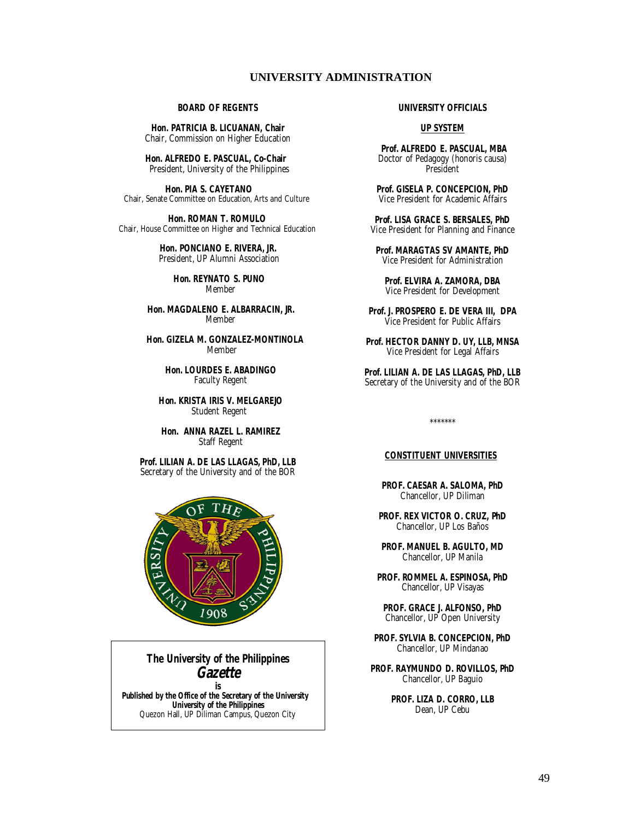### **UNIVERSITY ADMINISTRATION**

#### **BOARD OF REGENTS**

**Hon. PATRICIA B. LICUANAN, Chair** Chair, Commission on Higher Education

 **Hon. ALFREDO E. PASCUAL, Co-Chair** President, University of the Philippines

 **Hon. PIA S. CAYETANO** Chair, Senate Committee on Education, Arts and Culture

 **Hon. ROMAN T. ROMULO** Chair, House Committee on Higher and Technical Education

> **Hon. PONCIANO E. RIVERA, JR.** President, UP Alumni Association

> > **Hon. REYNATO S. PUNO** Member

 **Hon. MAGDALENO E. ALBARRACIN, JR.** Member

 **Hon. GIZELA M. GONZALEZ-MONTINOLA** Member

> **Hon. LOURDES E. ABADINGO** Faculty Regent

 **Hon. KRISTA IRIS V. MELGAREJO** Student Regent

 **Hon. ANNA RAZEL L. RAMIREZ** Staff Regent

**Prof. LILIAN A. DE LAS LLAGAS, PhD, LLB** Secretary of the University and of the BOR



### **The University of the Philippines**  *Gazette*

**is Published by the Office of the Secretary of the University University of the Philippines** Quezon Hall, UP Diliman Campus, Quezon City

#### **UNIVERSITY OFFICIALS**

#### **UP SYSTEM**

**Prof. ALFREDO E. PASCUAL, MBA**  Doctor of Pedagogy (honoris causa) President

**Prof. GISELA P. CONCEPCION, PhD** Vice President for Academic Affairs

**Prof. LISA GRACE S. BERSALES, PhD** Vice President for Planning and Finance

**Prof. MARAGTAS SV AMANTE, PhD** Vice President for Administration

**Prof. ELVIRA A. ZAMORA, DBA** Vice President for Development

**Prof. J. PROSPERO E. DE VERA III, DPA** Vice President for Public Affairs

**Prof. HECTOR DANNY D. UY, LLB, MNSA** Vice President for Legal Affairs

**Prof. LILIAN A. DE LAS LLAGAS, PhD, LLB** Secretary of the University and of the BOR

#### \*\*\*\*\*\*\*

#### **CONSTITUENT UNIVERSITIES**

**PROF. CAESAR A. SALOMA, PhD** Chancellor, UP Diliman

**PROF. REX VICTOR O. CRUZ, PhD** Chancellor, UP Los Baños

**PROF. MANUEL B. AGULTO, MD** Chancellor, UP Manila

**PROF. ROMMEL A. ESPINOSA, PhD** Chancellor, UP Visayas

**PROF. GRACE J. ALFONSO, PhD** Chancellor, UP Open University

**PROF. SYLVIA B. CONCEPCION, PhD** Chancellor, UP Mindanao

**PROF. RAYMUNDO D. ROVILLOS, PhD** Chancellor, UP Baguio

> **PROF. LIZA D. CORRO, LLB** Dean, UP Cebu